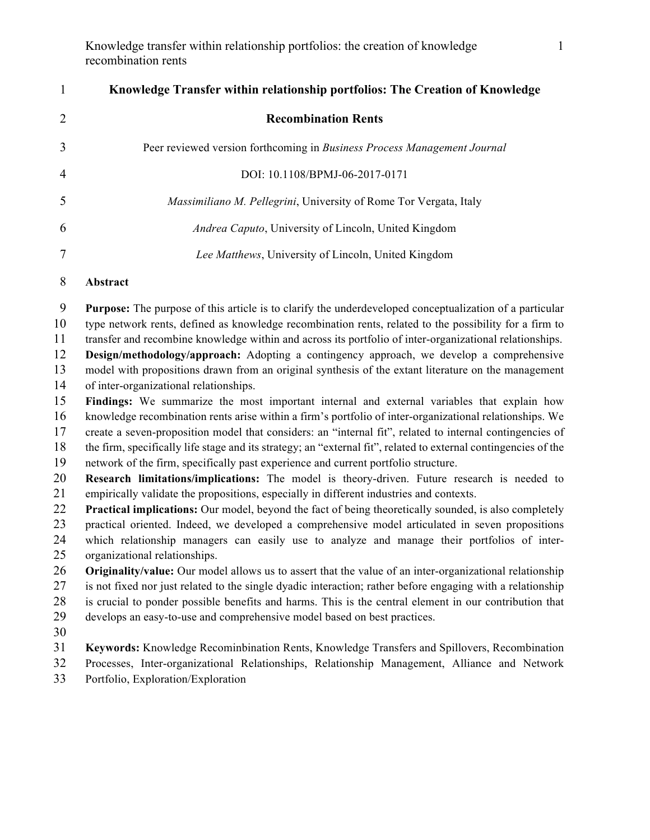|                | Knowledge Transfer within relationship portfolios: The Creation of Knowledge |
|----------------|------------------------------------------------------------------------------|
| 2              | <b>Recombination Rents</b>                                                   |
| 3              | Peer reviewed version forthcoming in Business Process Management Journal     |
| $\overline{4}$ | DOI: 10.1108/BPMJ-06-2017-0171                                               |
| 5              | <i>Massimiliano M. Pellegrini</i> , University of Rome Tor Vergata, Italy    |
| 6              | <i>Andrea Caputo</i> , University of Lincoln, United Kingdom                 |
| 7              | Lee Matthews, University of Lincoln, United Kingdom                          |
| 8              | Abstract                                                                     |

 **Purpose:** The purpose of this article is to clarify the underdeveloped conceptualization of a particular type network rents, defined as knowledge recombination rents, related to the possibility for a firm to transfer and recombine knowledge within and across its portfolio of inter-organizational relationships. **Design/methodology/approach:** Adopting a contingency approach, we develop a comprehensive model with propositions drawn from an original synthesis of the extant literature on the management of inter-organizational relationships. **Findings:** We summarize the most important internal and external variables that explain how knowledge recombination rents arise within a firm's portfolio of inter-organizational relationships. We create a seven-proposition model that considers: an "internal fit", related to internal contingencies of the firm, specifically life stage and its strategy; an "external fit", related to external contingencies of the network of the firm, specifically past experience and current portfolio structure. **Research limitations/implications:** The model is theory-driven. Future research is needed to empirically validate the propositions, especially in different industries and contexts. **Practical implications:** Our model, beyond the fact of being theoretically sounded, is also completely practical oriented. Indeed, we developed a comprehensive model articulated in seven propositions which relationship managers can easily use to analyze and manage their portfolios of inter- organizational relationships. **Originality/value:** Our model allows us to assert that the value of an inter-organizational relationship is not fixed nor just related to the single dyadic interaction; rather before engaging with a relationship

is crucial to ponder possible benefits and harms. This is the central element in our contribution that

develops an easy-to-use and comprehensive model based on best practices.

**Keywords:** Knowledge Recominbination Rents, Knowledge Transfers and Spillovers, Recombination

Processes, Inter-organizational Relationships, Relationship Management, Alliance and Network

Portfolio, Exploration/Exploration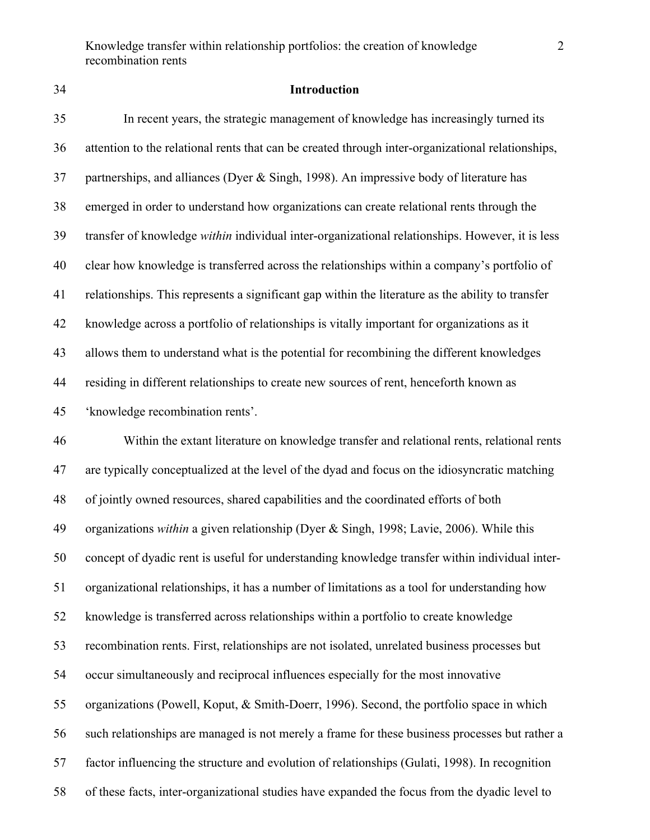#### **Introduction**

 In recent years, the strategic management of knowledge has increasingly turned its attention to the relational rents that can be created through inter-organizational relationships, 37 partnerships, and alliances (Dyer & Singh, 1998). An impressive body of literature has emerged in order to understand how organizations can create relational rents through the transfer of knowledge *within* individual inter-organizational relationships. However, it is less clear how knowledge is transferred across the relationships within a company's portfolio of relationships. This represents a significant gap within the literature as the ability to transfer knowledge across a portfolio of relationships is vitally important for organizations as it allows them to understand what is the potential for recombining the different knowledges residing in different relationships to create new sources of rent, henceforth known as 'knowledge recombination rents'. Within the extant literature on knowledge transfer and relational rents, relational rents are typically conceptualized at the level of the dyad and focus on the idiosyncratic matching of jointly owned resources, shared capabilities and the coordinated efforts of both organizations *within* a given relationship (Dyer & Singh, 1998; Lavie, 2006). While this

concept of dyadic rent is useful for understanding knowledge transfer within individual inter-

organizational relationships, it has a number of limitations as a tool for understanding how

knowledge is transferred across relationships within a portfolio to create knowledge

recombination rents. First, relationships are not isolated, unrelated business processes but

occur simultaneously and reciprocal influences especially for the most innovative

organizations (Powell, Koput, & Smith-Doerr, 1996). Second, the portfolio space in which

such relationships are managed is not merely a frame for these business processes but rather a

factor influencing the structure and evolution of relationships (Gulati, 1998). In recognition

of these facts, inter-organizational studies have expanded the focus from the dyadic level to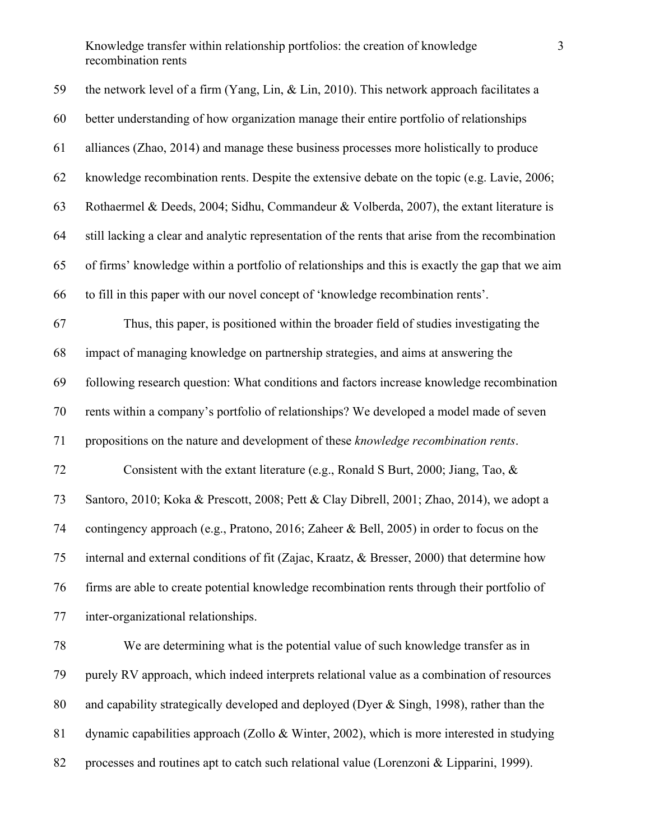the network level of a firm (Yang, Lin, & Lin, 2010). This network approach facilitates a better understanding of how organization manage their entire portfolio of relationships alliances (Zhao, 2014) and manage these business processes more holistically to produce knowledge recombination rents. Despite the extensive debate on the topic (e.g. Lavie, 2006; Rothaermel & Deeds, 2004; Sidhu, Commandeur & Volberda, 2007), the extant literature is still lacking a clear and analytic representation of the rents that arise from the recombination of firms' knowledge within a portfolio of relationships and this is exactly the gap that we aim to fill in this paper with our novel concept of 'knowledge recombination rents'. Thus, this paper, is positioned within the broader field of studies investigating the impact of managing knowledge on partnership strategies, and aims at answering the following research question: What conditions and factors increase knowledge recombination rents within a company's portfolio of relationships? We developed a model made of seven propositions on the nature and development of these *knowledge recombination rents*. Consistent with the extant literature (e.g., Ronald S Burt, 2000; Jiang, Tao, & Santoro, 2010; Koka & Prescott, 2008; Pett & Clay Dibrell, 2001; Zhao, 2014), we adopt a contingency approach (e.g., Pratono, 2016; Zaheer & Bell, 2005) in order to focus on the internal and external conditions of fit (Zajac, Kraatz, & Bresser, 2000) that determine how firms are able to create potential knowledge recombination rents through their portfolio of inter-organizational relationships. We are determining what is the potential value of such knowledge transfer as in purely RV approach, which indeed interprets relational value as a combination of resources 80 and capability strategically developed and deployed (Dyer & Singh, 1998), rather than the dynamic capabilities approach (Zollo & Winter, 2002), which is more interested in studying

processes and routines apt to catch such relational value (Lorenzoni & Lipparini, 1999).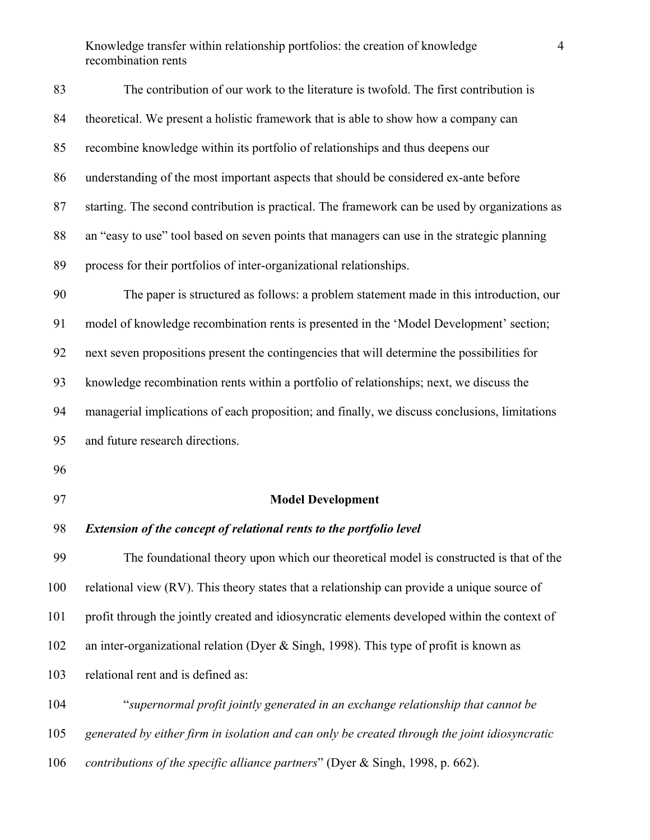| 83                                     | The contribution of our work to the literature is twofold. The first contribution is          |
|----------------------------------------|-----------------------------------------------------------------------------------------------|
| 84                                     | theoretical. We present a holistic framework that is able to show how a company can           |
| 85                                     | recombine knowledge within its portfolio of relationships and thus deepens our                |
| 86                                     | understanding of the most important aspects that should be considered ex-ante before          |
| 87                                     | starting. The second contribution is practical. The framework can be used by organizations as |
| 88                                     | an "easy to use" tool based on seven points that managers can use in the strategic planning   |
| 89                                     | process for their portfolios of inter-organizational relationships.                           |
| 90                                     | The paper is structured as follows: a problem statement made in this introduction, our        |
| 91                                     | model of knowledge recombination rents is presented in the 'Model Development' section;       |
| 92                                     | next seven propositions present the contingencies that will determine the possibilities for   |
| 93                                     | knowledge recombination rents within a portfolio of relationships; next, we discuss the       |
| 94                                     | managerial implications of each proposition; and finally, we discuss conclusions, limitations |
| 95                                     | and future research directions.                                                               |
|                                        |                                                                                               |
| 96                                     |                                                                                               |
| 97                                     | <b>Model Development</b>                                                                      |
| 98                                     | Extension of the concept of relational rents to the portfolio level                           |
| 99                                     | The foundational theory upon which our theoretical model is constructed is that of the        |
|                                        | relational view (RV). This theory states that a relationship can provide a unique source of   |
|                                        | profit through the jointly created and idiosyncratic elements developed within the context of |
|                                        | an inter-organizational relation (Dyer $\&$ Singh, 1998). This type of profit is known as     |
|                                        | relational rent and is defined as:                                                            |
|                                        | "supernormal profit jointly generated in an exchange relationship that cannot be              |
| 100<br>101<br>102<br>103<br>104<br>105 | generated by either firm in isolation and can only be created through the joint idiosyncratic |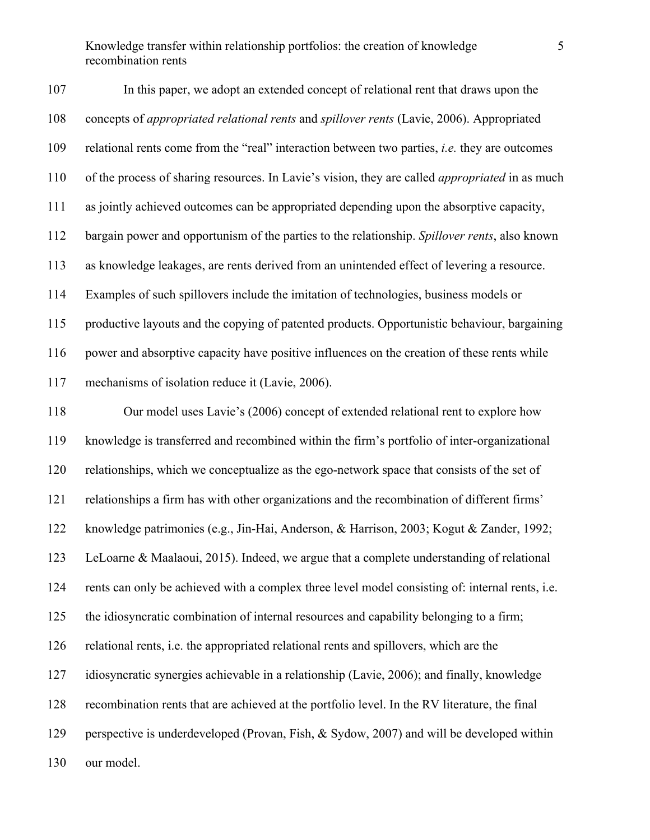In this paper, we adopt an extended concept of relational rent that draws upon the concepts of *appropriated relational rents* and *spillover rents* (Lavie, 2006). Appropriated relational rents come from the "real" interaction between two parties, *i.e.* they are outcomes of the process of sharing resources. In Lavie's vision, they are called *appropriated* in as much as jointly achieved outcomes can be appropriated depending upon the absorptive capacity, bargain power and opportunism of the parties to the relationship. *Spillover rents*, also known as knowledge leakages, are rents derived from an unintended effect of levering a resource. Examples of such spillovers include the imitation of technologies, business models or productive layouts and the copying of patented products. Opportunistic behaviour, bargaining power and absorptive capacity have positive influences on the creation of these rents while mechanisms of isolation reduce it (Lavie, 2006). Our model uses Lavie's (2006) concept of extended relational rent to explore how knowledge is transferred and recombined within the firm's portfolio of inter-organizational relationships, which we conceptualize as the ego-network space that consists of the set of relationships a firm has with other organizations and the recombination of different firms' knowledge patrimonies (e.g., Jin-Hai, Anderson, & Harrison, 2003; Kogut & Zander, 1992; LeLoarne & Maalaoui, 2015). Indeed, we argue that a complete understanding of relational rents can only be achieved with a complex three level model consisting of: internal rents, i.e. the idiosyncratic combination of internal resources and capability belonging to a firm; relational rents, i.e. the appropriated relational rents and spillovers, which are the idiosyncratic synergies achievable in a relationship (Lavie, 2006); and finally, knowledge

recombination rents that are achieved at the portfolio level. In the RV literature, the final

129 perspective is underdeveloped (Provan, Fish, & Sydow, 2007) and will be developed within

our model.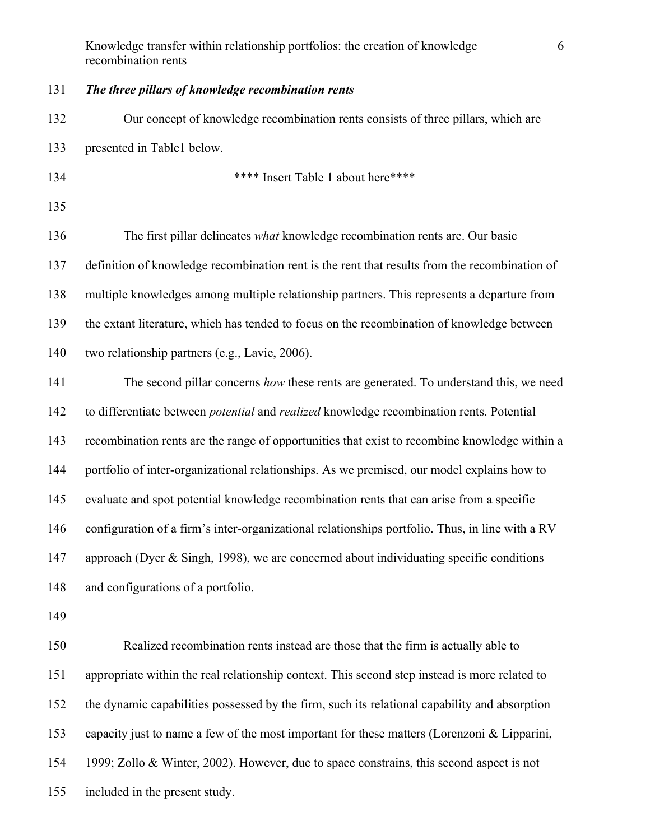| 131 | The three pillars of knowledge recombination rents                                                     |
|-----|--------------------------------------------------------------------------------------------------------|
| 132 | Our concept of knowledge recombination rents consists of three pillars, which are                      |
| 133 | presented in Table1 below.                                                                             |
| 134 | **** Insert Table 1 about here****                                                                     |
| 135 |                                                                                                        |
| 136 | The first pillar delineates what knowledge recombination rents are. Our basic                          |
| 137 | definition of knowledge recombination rent is the rent that results from the recombination of          |
| 138 | multiple knowledges among multiple relationship partners. This represents a departure from             |
| 139 | the extant literature, which has tended to focus on the recombination of knowledge between             |
| 140 | two relationship partners (e.g., Lavie, 2006).                                                         |
| 141 | The second pillar concerns how these rents are generated. To understand this, we need                  |
| 142 | to differentiate between <i>potential</i> and <i>realized</i> knowledge recombination rents. Potential |
| 143 | recombination rents are the range of opportunities that exist to recombine knowledge within a          |
| 144 | portfolio of inter-organizational relationships. As we premised, our model explains how to             |
| 145 | evaluate and spot potential knowledge recombination rents that can arise from a specific               |
| 146 | configuration of a firm's inter-organizational relationships portfolio. Thus, in line with a RV        |
| 147 | approach (Dyer $\&$ Singh, 1998), we are concerned about individuating specific conditions             |
| 148 | and configurations of a portfolio.                                                                     |
| 149 |                                                                                                        |
| 150 | Realized recombination rents instead are those that the firm is actually able to                       |
| 151 | appropriate within the real relationship context. This second step instead is more related to          |
| 152 | the dynamic capabilities possessed by the firm, such its relational capability and absorption          |

capacity just to name a few of the most important for these matters (Lorenzoni & Lipparini,

1999; Zollo & Winter, 2002). However, due to space constrains, this second aspect is not

included in the present study.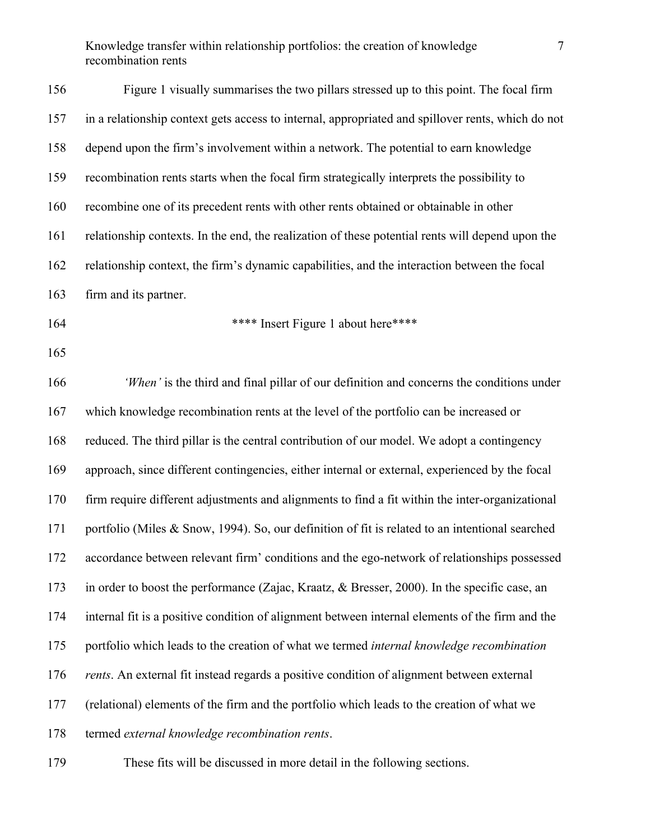| 156 | Figure 1 visually summarises the two pillars stressed up to this point. The focal firm            |
|-----|---------------------------------------------------------------------------------------------------|
| 157 | in a relationship context gets access to internal, appropriated and spillover rents, which do not |
| 158 | depend upon the firm's involvement within a network. The potential to earn knowledge              |
| 159 | recombination rents starts when the focal firm strategically interprets the possibility to        |
| 160 | recombine one of its precedent rents with other rents obtained or obtainable in other             |
| 161 | relationship contexts. In the end, the realization of these potential rents will depend upon the  |
| 162 | relationship context, the firm's dynamic capabilities, and the interaction between the focal      |
| 163 | firm and its partner.                                                                             |
| 164 | **** Insert Figure 1 about here****                                                               |
| 165 |                                                                                                   |
| 166 | 'When' is the third and final pillar of our definition and concerns the conditions under          |
| 167 | which knowledge recombination rents at the level of the portfolio can be increased or             |
| 168 | reduced. The third pillar is the central contribution of our model. We adopt a contingency        |
| 169 | approach, since different contingencies, either internal or external, experienced by the focal    |
| 170 | firm require different adjustments and alignments to find a fit within the inter-organizational   |
| 171 | portfolio (Miles & Snow, 1994). So, our definition of fit is related to an intentional searched   |
| 172 | accordance between relevant firm' conditions and the ego-network of relationships possessed       |
| 173 | in order to boost the performance (Zajac, Kraatz, & Bresser, 2000). In the specific case, an      |
| 174 | internal fit is a positive condition of alignment between internal elements of the firm and the   |
| 175 | portfolio which leads to the creation of what we termed internal knowledge recombination          |
| 176 | rents. An external fit instead regards a positive condition of alignment between external         |
| 177 | (relational) elements of the firm and the portfolio which leads to the creation of what we        |
| 178 | termed external knowledge recombination rents.                                                    |
| 179 | These fits will be discussed in more detail in the following sections.                            |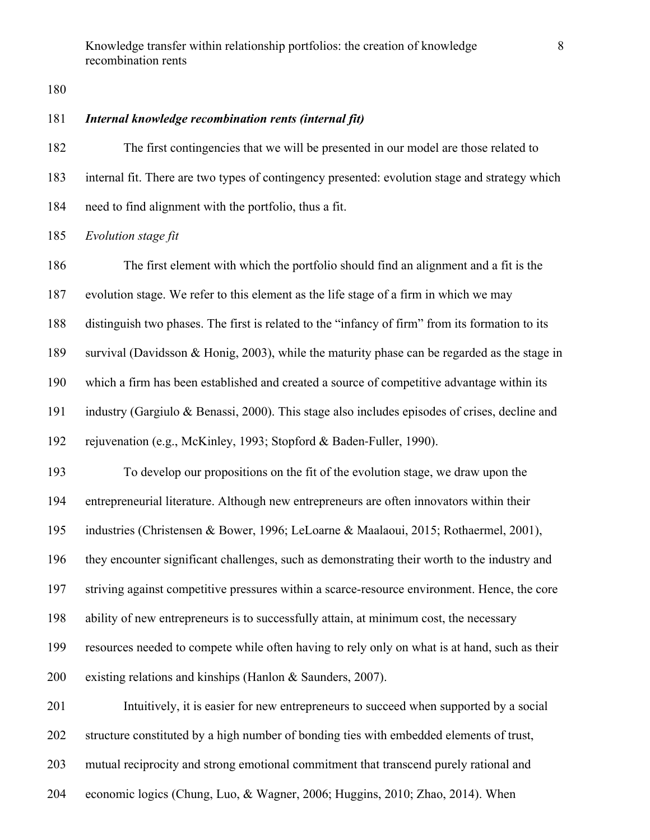## *Internal knowledge recombination rents (internal fit)*

 The first contingencies that we will be presented in our model are those related to internal fit. There are two types of contingency presented: evolution stage and strategy which need to find alignment with the portfolio, thus a fit.

### *Evolution stage fit*

 The first element with which the portfolio should find an alignment and a fit is the evolution stage. We refer to this element as the life stage of a firm in which we may distinguish two phases. The first is related to the "infancy of firm" from its formation to its survival (Davidsson & Honig, 2003), while the maturity phase can be regarded as the stage in which a firm has been established and created a source of competitive advantage within its industry (Gargiulo & Benassi, 2000). This stage also includes episodes of crises, decline and rejuvenation (e.g., McKinley, 1993; Stopford & Baden-Fuller, 1990). To develop our propositions on the fit of the evolution stage, we draw upon the entrepreneurial literature. Although new entrepreneurs are often innovators within their industries (Christensen & Bower, 1996; LeLoarne & Maalaoui, 2015; Rothaermel, 2001), they encounter significant challenges, such as demonstrating their worth to the industry and striving against competitive pressures within a scarce-resource environment. Hence, the core

ability of new entrepreneurs is to successfully attain, at minimum cost, the necessary

resources needed to compete while often having to rely only on what is at hand, such as their

existing relations and kinships (Hanlon & Saunders, 2007).

 Intuitively, it is easier for new entrepreneurs to succeed when supported by a social structure constituted by a high number of bonding ties with embedded elements of trust, mutual reciprocity and strong emotional commitment that transcend purely rational and economic logics (Chung, Luo, & Wagner, 2006; Huggins, 2010; Zhao, 2014). When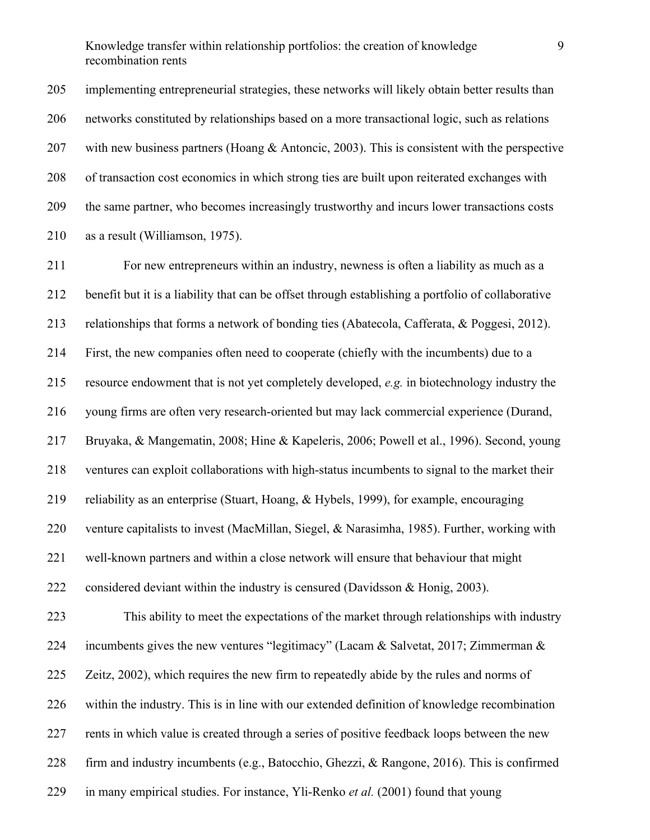implementing entrepreneurial strategies, these networks will likely obtain better results than networks constituted by relationships based on a more transactional logic, such as relations with new business partners (Hoang & Antoncic, 2003). This is consistent with the perspective of transaction cost economics in which strong ties are built upon reiterated exchanges with the same partner, who becomes increasingly trustworthy and incurs lower transactions costs as a result (Williamson, 1975).

 For new entrepreneurs within an industry, newness is often a liability as much as a benefit but it is a liability that can be offset through establishing a portfolio of collaborative relationships that forms a network of bonding ties (Abatecola, Cafferata, & Poggesi, 2012). First, the new companies often need to cooperate (chiefly with the incumbents) due to a resource endowment that is not yet completely developed, *e.g.* in biotechnology industry the young firms are often very research-oriented but may lack commercial experience (Durand, Bruyaka, & Mangematin, 2008; Hine & Kapeleris, 2006; Powell et al., 1996). Second, young ventures can exploit collaborations with high-status incumbents to signal to the market their reliability as an enterprise (Stuart, Hoang, & Hybels, 1999), for example, encouraging venture capitalists to invest (MacMillan, Siegel, & Narasimha, 1985). Further, working with well-known partners and within a close network will ensure that behaviour that might considered deviant within the industry is censured (Davidsson & Honig, 2003). This ability to meet the expectations of the market through relationships with industry incumbents gives the new ventures "legitimacy" (Lacam & Salvetat, 2017; Zimmerman & Zeitz, 2002), which requires the new firm to repeatedly abide by the rules and norms of

within the industry. This is in line with our extended definition of knowledge recombination

rents in which value is created through a series of positive feedback loops between the new

- firm and industry incumbents (e.g., Batocchio, Ghezzi, & Rangone, 2016). This is confirmed
- in many empirical studies. For instance, Yli-Renko *et al.* (2001) found that young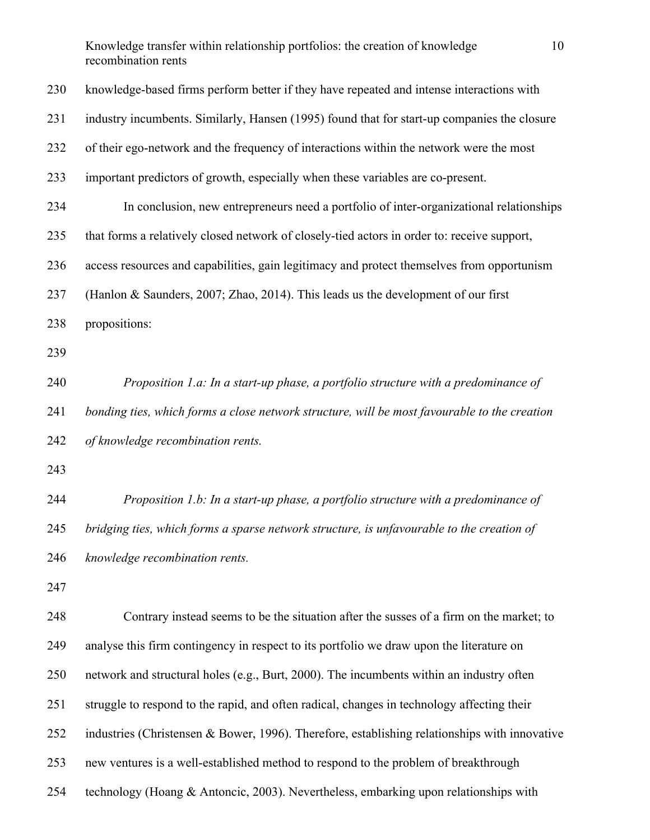| 230 | knowledge-based firms perform better if they have repeated and intense interactions with      |
|-----|-----------------------------------------------------------------------------------------------|
| 231 | industry incumbents. Similarly, Hansen (1995) found that for start-up companies the closure   |
| 232 | of their ego-network and the frequency of interactions within the network were the most       |
| 233 | important predictors of growth, especially when these variables are co-present.               |
| 234 | In conclusion, new entrepreneurs need a portfolio of inter-organizational relationships       |
| 235 | that forms a relatively closed network of closely-tied actors in order to: receive support,   |
| 236 | access resources and capabilities, gain legitimacy and protect themselves from opportunism    |
| 237 | (Hanlon & Saunders, 2007; Zhao, 2014). This leads us the development of our first             |
| 238 | propositions:                                                                                 |
| 239 |                                                                                               |
| 240 | Proposition 1.a: In a start-up phase, a portfolio structure with a predominance of            |
| 241 | bonding ties, which forms a close network structure, will be most favourable to the creation  |
| 242 | of knowledge recombination rents.                                                             |
| 243 |                                                                                               |
| 244 | Proposition 1.b: In a start-up phase, a portfolio structure with a predominance of            |
| 245 | bridging ties, which forms a sparse network structure, is unfavourable to the creation of     |
| 246 | knowledge recombination rents.                                                                |
| 247 |                                                                                               |
| 248 | Contrary instead seems to be the situation after the susses of a firm on the market; to       |
| 249 | analyse this firm contingency in respect to its portfolio we draw upon the literature on      |
| 250 | network and structural holes (e.g., Burt, 2000). The incumbents within an industry often      |
| 251 | struggle to respond to the rapid, and often radical, changes in technology affecting their    |
| 252 | industries (Christensen & Bower, 1996). Therefore, establishing relationships with innovative |
| 253 | new ventures is a well-established method to respond to the problem of breakthrough           |
| 254 | technology (Hoang & Antoncic, 2003). Nevertheless, embarking upon relationships with          |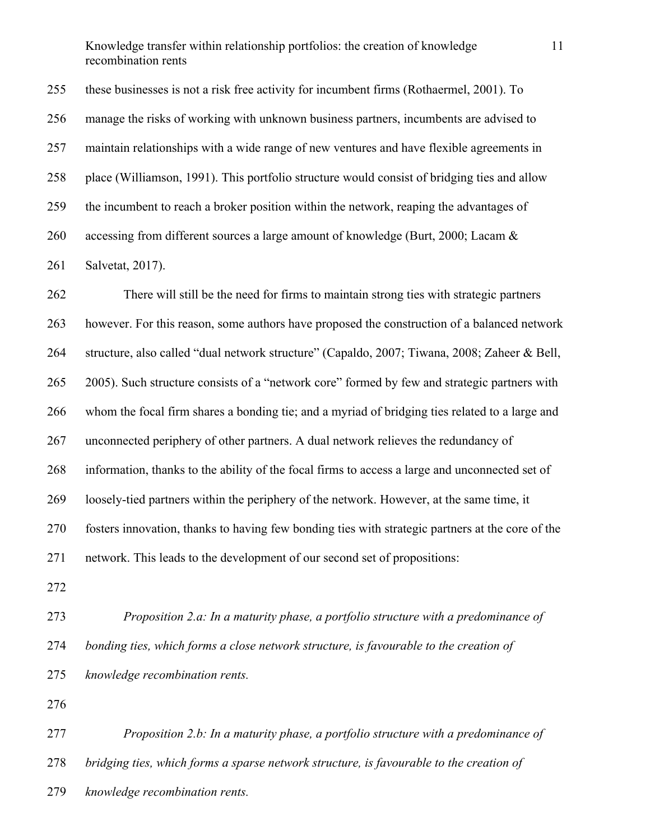these businesses is not a risk free activity for incumbent firms (Rothaermel, 2001). To manage the risks of working with unknown business partners, incumbents are advised to maintain relationships with a wide range of new ventures and have flexible agreements in place (Williamson, 1991). This portfolio structure would consist of bridging ties and allow the incumbent to reach a broker position within the network, reaping the advantages of 260 accessing from different sources a large amount of knowledge (Burt, 2000; Lacam & Salvetat, 2017).

 There will still be the need for firms to maintain strong ties with strategic partners however. For this reason, some authors have proposed the construction of a balanced network structure, also called "dual network structure" (Capaldo, 2007; Tiwana, 2008; Zaheer & Bell, 2005). Such structure consists of a "network core" formed by few and strategic partners with whom the focal firm shares a bonding tie; and a myriad of bridging ties related to a large and unconnected periphery of other partners. A dual network relieves the redundancy of information, thanks to the ability of the focal firms to access a large and unconnected set of loosely-tied partners within the periphery of the network. However, at the same time, it fosters innovation, thanks to having few bonding ties with strategic partners at the core of the network. This leads to the development of our second set of propositions:

 *Proposition 2.a: In a maturity phase, a portfolio structure with a predominance of bonding ties, which forms a close network structure, is favourable to the creation of knowledge recombination rents.*

 *Proposition 2.b: In a maturity phase, a portfolio structure with a predominance of bridging ties, which forms a sparse network structure, is favourable to the creation of knowledge recombination rents.*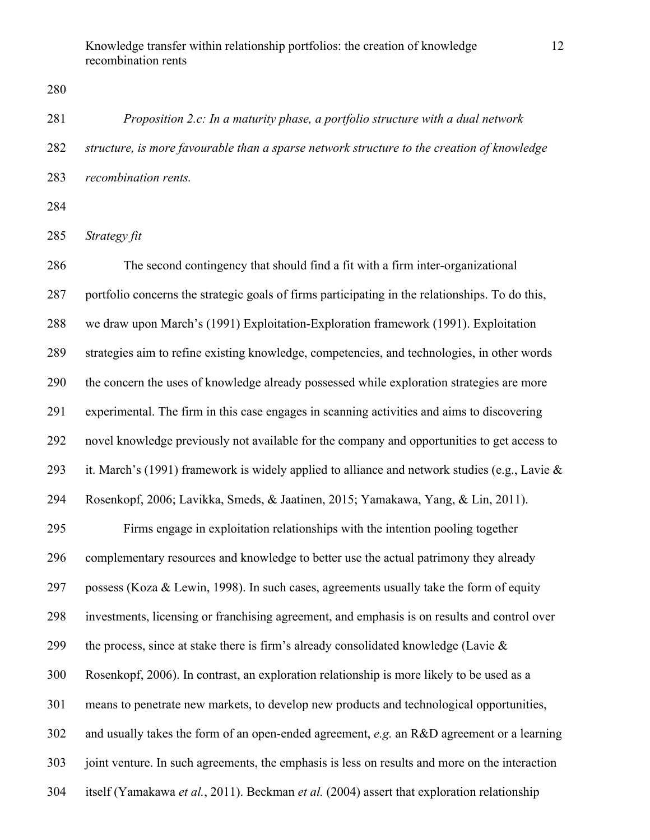*Proposition 2.c: In a maturity phase, a portfolio structure with a dual network structure, is more favourable than a sparse network structure to the creation of knowledge recombination rents.*

*Strategy fit*

 The second contingency that should find a fit with a firm inter-organizational portfolio concerns the strategic goals of firms participating in the relationships. To do this, we draw upon March's (1991) Exploitation-Exploration framework (1991). Exploitation strategies aim to refine existing knowledge, competencies, and technologies, in other words the concern the uses of knowledge already possessed while exploration strategies are more experimental. The firm in this case engages in scanning activities and aims to discovering novel knowledge previously not available for the company and opportunities to get access to it. March's (1991) framework is widely applied to alliance and network studies (e.g., Lavie & Rosenkopf, 2006; Lavikka, Smeds, & Jaatinen, 2015; Yamakawa, Yang, & Lin, 2011). Firms engage in exploitation relationships with the intention pooling together complementary resources and knowledge to better use the actual patrimony they already possess (Koza & Lewin, 1998). In such cases, agreements usually take the form of equity investments, licensing or franchising agreement, and emphasis is on results and control over 299 the process, since at stake there is firm's already consolidated knowledge (Lavie  $\&$  Rosenkopf, 2006). In contrast, an exploration relationship is more likely to be used as a means to penetrate new markets, to develop new products and technological opportunities, and usually takes the form of an open-ended agreement, *e.g.* an R&D agreement or a learning joint venture. In such agreements, the emphasis is less on results and more on the interaction itself (Yamakawa *et al.*, 2011). Beckman *et al.* (2004) assert that exploration relationship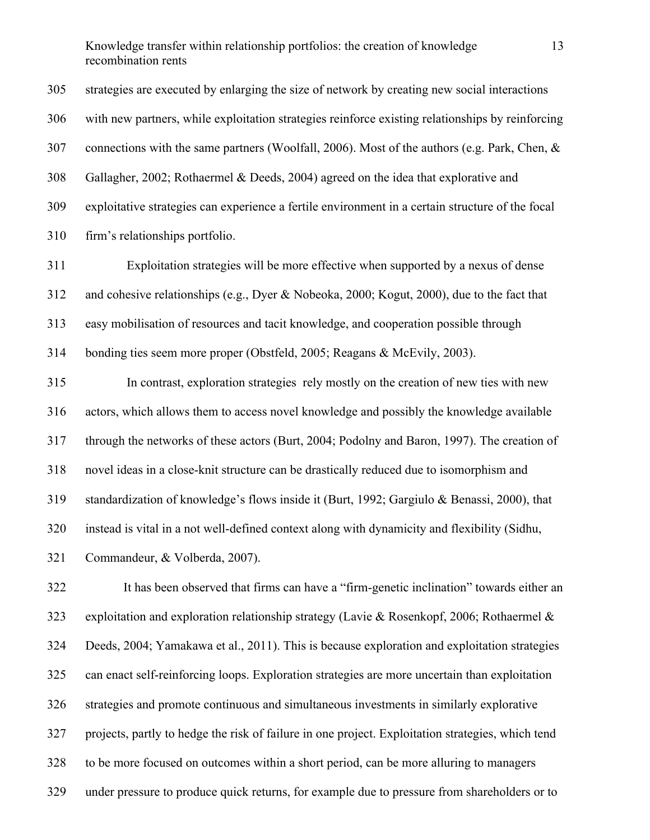strategies are executed by enlarging the size of network by creating new social interactions with new partners, while exploitation strategies reinforce existing relationships by reinforcing connections with the same partners (Woolfall, 2006). Most of the authors (e.g. Park, Chen, & Gallagher, 2002; Rothaermel & Deeds, 2004) agreed on the idea that explorative and exploitative strategies can experience a fertile environment in a certain structure of the focal firm's relationships portfolio.

 Exploitation strategies will be more effective when supported by a nexus of dense and cohesive relationships (e.g., Dyer & Nobeoka, 2000; Kogut, 2000), due to the fact that easy mobilisation of resources and tacit knowledge, and cooperation possible through bonding ties seem more proper (Obstfeld, 2005; Reagans & McEvily, 2003).

 In contrast, exploration strategies rely mostly on the creation of new ties with new actors, which allows them to access novel knowledge and possibly the knowledge available through the networks of these actors (Burt, 2004; Podolny and Baron, 1997). The creation of novel ideas in a close-knit structure can be drastically reduced due to isomorphism and standardization of knowledge's flows inside it (Burt, 1992; Gargiulo & Benassi, 2000), that instead is vital in a not well-defined context along with dynamicity and flexibility (Sidhu, Commandeur, & Volberda, 2007).

 It has been observed that firms can have a "firm-genetic inclination" towards either an exploitation and exploration relationship strategy (Lavie & Rosenkopf, 2006; Rothaermel & Deeds, 2004; Yamakawa et al., 2011). This is because exploration and exploitation strategies can enact self-reinforcing loops. Exploration strategies are more uncertain than exploitation strategies and promote continuous and simultaneous investments in similarly explorative projects, partly to hedge the risk of failure in one project. Exploitation strategies, which tend to be more focused on outcomes within a short period, can be more alluring to managers under pressure to produce quick returns, for example due to pressure from shareholders or to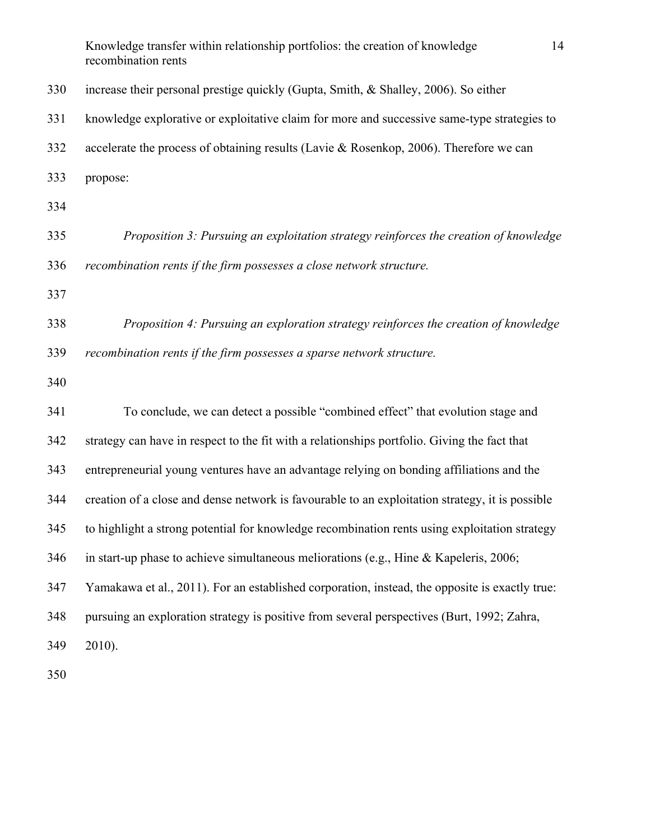| 330 | increase their personal prestige quickly (Gupta, Smith, & Shalley, 2006). So either             |
|-----|-------------------------------------------------------------------------------------------------|
| 331 | knowledge explorative or exploitative claim for more and successive same-type strategies to     |
| 332 | accelerate the process of obtaining results (Lavie & Rosenkop, 2006). Therefore we can          |
| 333 | propose:                                                                                        |
| 334 |                                                                                                 |
| 335 | Proposition 3: Pursuing an exploitation strategy reinforces the creation of knowledge           |
| 336 | recombination rents if the firm possesses a close network structure.                            |
| 337 |                                                                                                 |
| 338 | Proposition 4: Pursuing an exploration strategy reinforces the creation of knowledge            |
| 339 | recombination rents if the firm possesses a sparse network structure.                           |
| 340 |                                                                                                 |
| 341 | To conclude, we can detect a possible "combined effect" that evolution stage and                |
| 342 | strategy can have in respect to the fit with a relationships portfolio. Giving the fact that    |
| 343 | entrepreneurial young ventures have an advantage relying on bonding affiliations and the        |
| 344 | creation of a close and dense network is favourable to an exploitation strategy, it is possible |
| 345 | to highlight a strong potential for knowledge recombination rents using exploitation strategy   |
| 346 | in start-up phase to achieve simultaneous meliorations (e.g., Hine & Kapeleris, 2006;           |
| 347 | Yamakawa et al., 2011). For an established corporation, instead, the opposite is exactly true:  |
| 348 | pursuing an exploration strategy is positive from several perspectives (Burt, 1992; Zahra,      |
| 349 | $2010$ ).                                                                                       |
| 350 |                                                                                                 |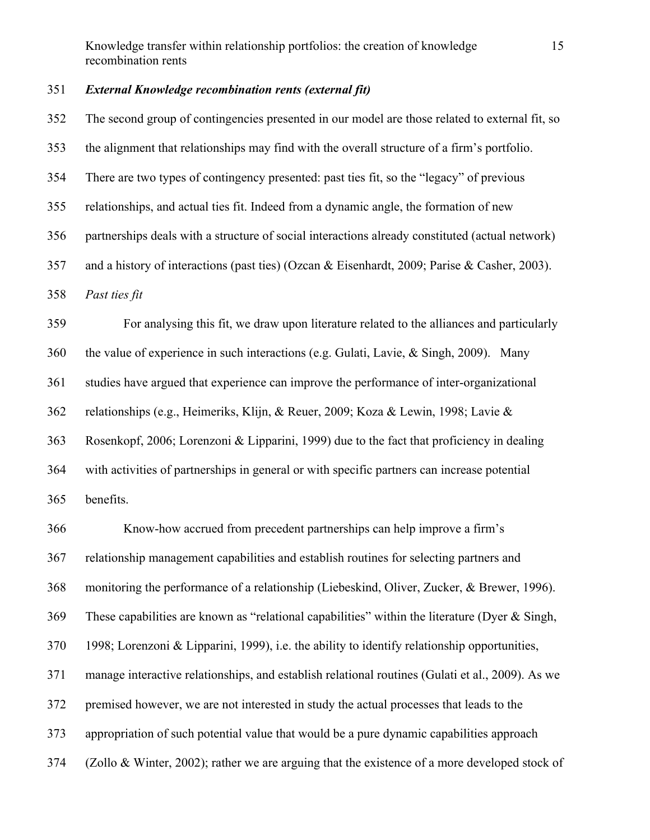## *External Knowledge recombination rents (external fit)*

 The second group of contingencies presented in our model are those related to external fit, so the alignment that relationships may find with the overall structure of a firm's portfolio. There are two types of contingency presented: past ties fit, so the "legacy" of previous relationships, and actual ties fit. Indeed from a dynamic angle, the formation of new partnerships deals with a structure of social interactions already constituted (actual network) and a history of interactions (past ties) (Ozcan & Eisenhardt, 2009; Parise & Casher, 2003). *Past ties fit* For analysing this fit, we draw upon literature related to the alliances and particularly

the value of experience in such interactions (e.g. Gulati, Lavie, & Singh, 2009). Many

studies have argued that experience can improve the performance of inter-organizational

relationships (e.g., Heimeriks, Klijn, & Reuer, 2009; Koza & Lewin, 1998; Lavie &

 Rosenkopf, 2006; Lorenzoni & Lipparini, 1999) due to the fact that proficiency in dealing with activities of partnerships in general or with specific partners can increase potential

benefits.

 Know-how accrued from precedent partnerships can help improve a firm's relationship management capabilities and establish routines for selecting partners and monitoring the performance of a relationship (Liebeskind, Oliver, Zucker, & Brewer, 1996). These capabilities are known as "relational capabilities" within the literature (Dyer & Singh, 1998; Lorenzoni & Lipparini, 1999), i.e. the ability to identify relationship opportunities, manage interactive relationships, and establish relational routines (Gulati et al., 2009). As we premised however, we are not interested in study the actual processes that leads to the appropriation of such potential value that would be a pure dynamic capabilities approach (Zollo & Winter, 2002); rather we are arguing that the existence of a more developed stock of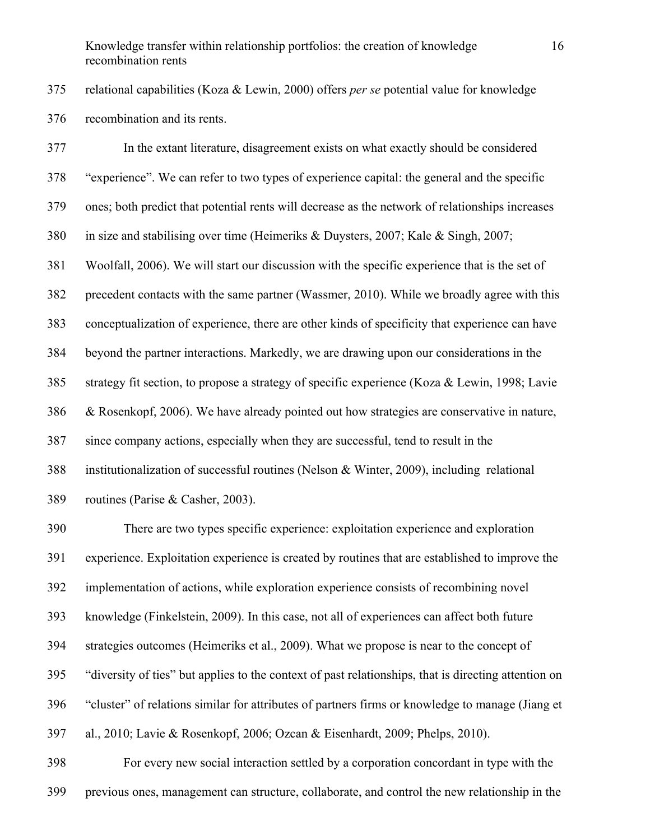relational capabilities (Koza & Lewin, 2000) offers *per se* potential value for knowledge recombination and its rents.

 In the extant literature, disagreement exists on what exactly should be considered "experience". We can refer to two types of experience capital: the general and the specific ones; both predict that potential rents will decrease as the network of relationships increases in size and stabilising over time (Heimeriks & Duysters, 2007; Kale & Singh, 2007; Woolfall, 2006). We will start our discussion with the specific experience that is the set of precedent contacts with the same partner (Wassmer, 2010). While we broadly agree with this conceptualization of experience, there are other kinds of specificity that experience can have beyond the partner interactions. Markedly, we are drawing upon our considerations in the strategy fit section, to propose a strategy of specific experience (Koza & Lewin, 1998; Lavie & Rosenkopf, 2006). We have already pointed out how strategies are conservative in nature, since company actions, especially when they are successful, tend to result in the institutionalization of successful routines (Nelson & Winter, 2009), including relational routines (Parise & Casher, 2003).

 There are two types specific experience: exploitation experience and exploration experience. Exploitation experience is created by routines that are established to improve the implementation of actions, while exploration experience consists of recombining novel knowledge (Finkelstein, 2009). In this case, not all of experiences can affect both future strategies outcomes (Heimeriks et al., 2009). What we propose is near to the concept of "diversity of ties" but applies to the context of past relationships, that is directing attention on "cluster" of relations similar for attributes of partners firms or knowledge to manage (Jiang et al., 2010; Lavie & Rosenkopf, 2006; Ozcan & Eisenhardt, 2009; Phelps, 2010).

 For every new social interaction settled by a corporation concordant in type with the previous ones, management can structure, collaborate, and control the new relationship in the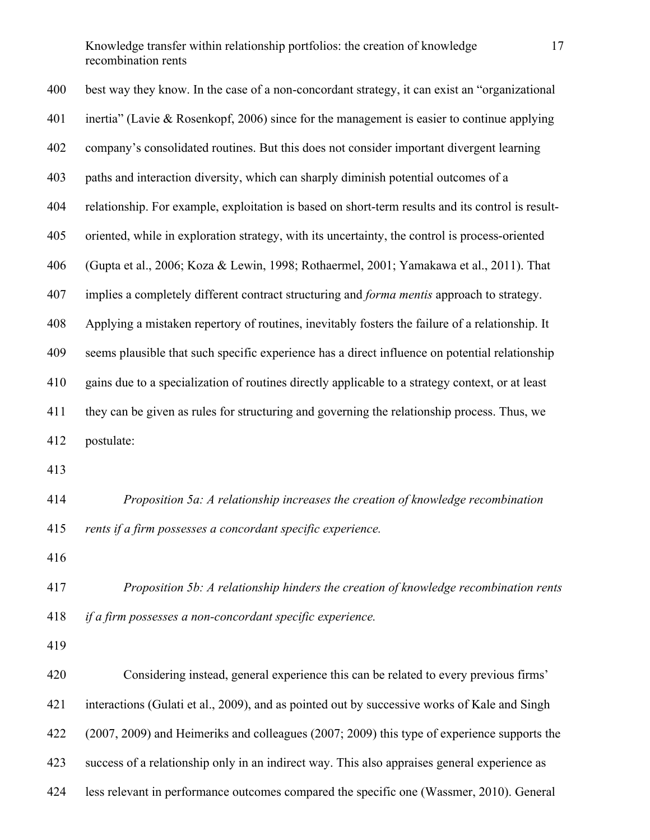| 400 | best way they know. In the case of a non-concordant strategy, it can exist an "organizational     |
|-----|---------------------------------------------------------------------------------------------------|
| 401 | inertia" (Lavie & Rosenkopf, 2006) since for the management is easier to continue applying        |
| 402 | company's consolidated routines. But this does not consider important divergent learning          |
| 403 | paths and interaction diversity, which can sharply diminish potential outcomes of a               |
| 404 | relationship. For example, exploitation is based on short-term results and its control is result- |
| 405 | oriented, while in exploration strategy, with its uncertainty, the control is process-oriented    |
| 406 | (Gupta et al., 2006; Koza & Lewin, 1998; Rothaermel, 2001; Yamakawa et al., 2011). That           |
| 407 | implies a completely different contract structuring and <i>forma mentis</i> approach to strategy. |
| 408 | Applying a mistaken repertory of routines, inevitably fosters the failure of a relationship. It   |
| 409 | seems plausible that such specific experience has a direct influence on potential relationship    |
| 410 | gains due to a specialization of routines directly applicable to a strategy context, or at least  |
| 411 | they can be given as rules for structuring and governing the relationship process. Thus, we       |
| 412 | postulate:                                                                                        |
| 413 |                                                                                                   |
| 414 | Proposition 5a: A relationship increases the creation of knowledge recombination                  |
| 415 | rents if a firm possesses a concordant specific experience.                                       |
| 416 |                                                                                                   |
| 417 | Proposition 5b: A relationship hinders the creation of knowledge recombination rents              |
| 418 | if a firm possesses a non-concordant specific experience.                                         |

 Considering instead, general experience this can be related to every previous firms' interactions (Gulati et al., 2009), and as pointed out by successive works of Kale and Singh (2007, 2009) and Heimeriks and colleagues (2007; 2009) this type of experience supports the success of a relationship only in an indirect way. This also appraises general experience as less relevant in performance outcomes compared the specific one (Wassmer, 2010). General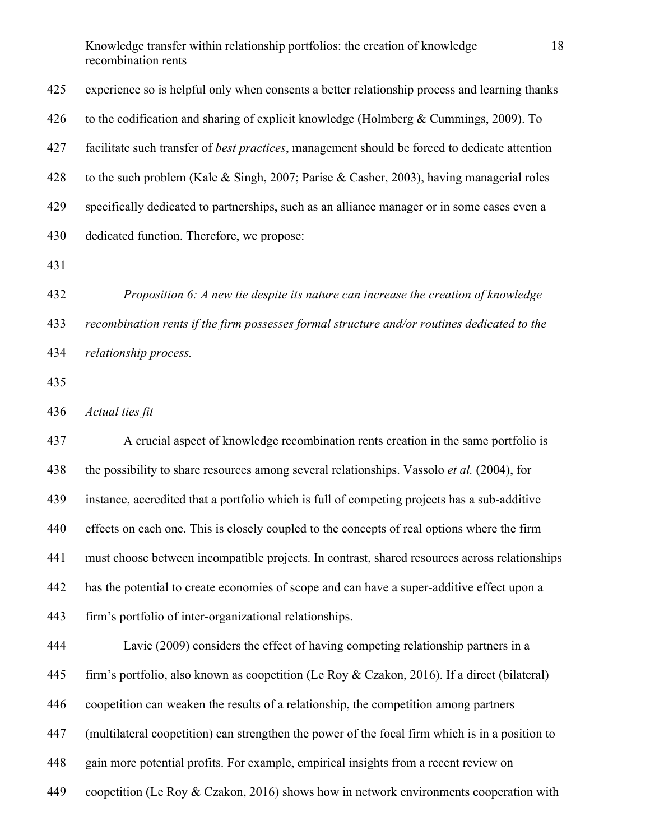| 425 | experience so is helpful only when consents a better relationship process and learning thanks |
|-----|-----------------------------------------------------------------------------------------------|
| 426 | to the codification and sharing of explicit knowledge (Holmberg $&$ Cummings, 2009). To       |
| 427 | facilitate such transfer of best practices, management should be forced to dedicate attention |
| 428 | to the such problem (Kale & Singh, 2007; Parise & Casher, 2003), having managerial roles      |
| 429 | specifically dedicated to partnerships, such as an alliance manager or in some cases even a   |
| 430 | dedicated function. Therefore, we propose:                                                    |
| 431 |                                                                                               |
| 432 | Proposition 6: A new tie despite its nature can increase the creation of knowledge            |
| 433 | recombination rents if the firm possesses formal structure and/or routines dedicated to the   |
| 434 | relationship process.                                                                         |
| 435 |                                                                                               |
| 436 | Actual ties fit                                                                               |
| 437 | A crucial aspect of knowledge recombination rents creation in the same portfolio is           |
| 438 | the possibility to share resources among several relationships. Vassolo et al. (2004), for    |

 instance, accredited that a portfolio which is full of competing projects has a sub-additive effects on each one. This is closely coupled to the concepts of real options where the firm must choose between incompatible projects. In contrast, shared resources across relationships has the potential to create economies of scope and can have a super-additive effect upon a firm's portfolio of inter-organizational relationships.

 Lavie (2009) considers the effect of having competing relationship partners in a firm's portfolio, also known as coopetition (Le Roy & Czakon, 2016). If a direct (bilateral) coopetition can weaken the results of a relationship, the competition among partners (multilateral coopetition) can strengthen the power of the focal firm which is in a position to gain more potential profits. For example, empirical insights from a recent review on coopetition (Le Roy & Czakon, 2016) shows how in network environments cooperation with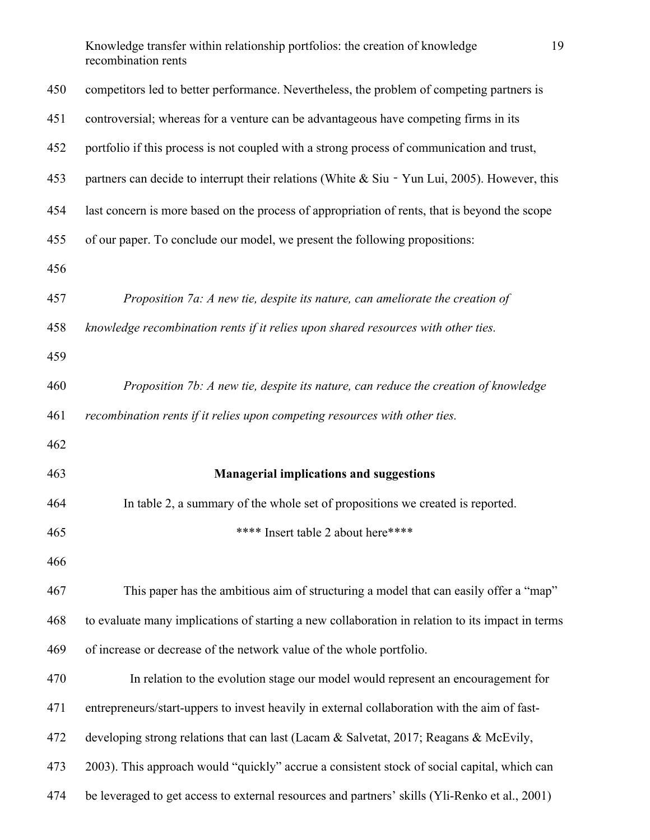| 450 | competitors led to better performance. Nevertheless, the problem of competing partners is        |
|-----|--------------------------------------------------------------------------------------------------|
| 451 | controversial; whereas for a venture can be advantageous have competing firms in its             |
| 452 | portfolio if this process is not coupled with a strong process of communication and trust,       |
| 453 | partners can decide to interrupt their relations (White & Siu - Yun Lui, 2005). However, this    |
| 454 | last concern is more based on the process of appropriation of rents, that is beyond the scope    |
| 455 | of our paper. To conclude our model, we present the following propositions:                      |
| 456 |                                                                                                  |
| 457 | Proposition 7a: A new tie, despite its nature, can ameliorate the creation of                    |
| 458 | knowledge recombination rents if it relies upon shared resources with other ties.                |
| 459 |                                                                                                  |
| 460 | Proposition 7b: A new tie, despite its nature, can reduce the creation of knowledge              |
| 461 | recombination rents if it relies upon competing resources with other ties.                       |
| 462 |                                                                                                  |
| 463 | <b>Managerial implications and suggestions</b>                                                   |
| 464 | In table 2, a summary of the whole set of propositions we created is reported.                   |
| 465 | **** Insert table 2 about here****                                                               |
| 466 |                                                                                                  |
| 467 | This paper has the ambitious aim of structuring a model that can easily offer a "map"            |
| 468 | to evaluate many implications of starting a new collaboration in relation to its impact in terms |
| 469 | of increase or decrease of the network value of the whole portfolio.                             |
| 470 | In relation to the evolution stage our model would represent an encouragement for                |
| 471 | entrepreneurs/start-uppers to invest heavily in external collaboration with the aim of fast-     |
| 472 | developing strong relations that can last (Lacam & Salvetat, 2017; Reagans & McEvily,            |
| 473 | 2003). This approach would "quickly" accrue a consistent stock of social capital, which can      |
| 474 | be leveraged to get access to external resources and partners' skills (Yli-Renko et al., 2001)   |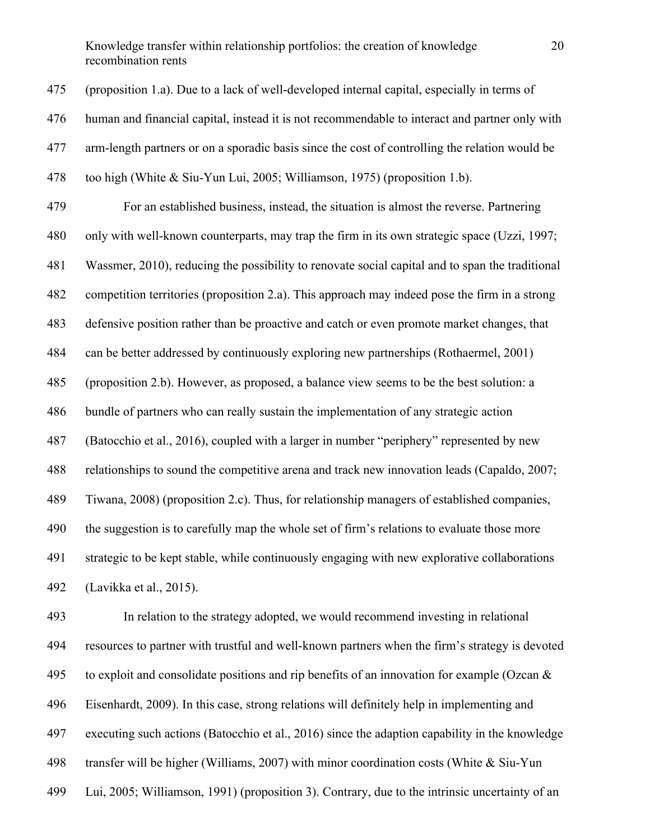(proposition 1.a). Due to a lack of well-developed internal capital, especially in terms of human and financial capital, instead it is not recommendable to interact and partner only with arm-length partners or on a sporadic basis since the cost of controlling the relation would be too high (White & Siu-Yun Lui, 2005; Williamson, 1975) (proposition 1.b). For an established business, instead, the situation is almost the reverse. Partnering only with well-known counterparts, may trap the firm in its own strategic space (Uzzi, 1997; Wassmer, 2010), reducing the possibility to renovate social capital and to span the traditional competition territories (proposition 2.a). This approach may indeed pose the firm in a strong defensive position rather than be proactive and catch or even promote market changes, that can be better addressed by continuously exploring new partnerships (Rothaermel, 2001) (proposition 2.b). However, as proposed, a balance view seems to be the best solution: a bundle of partners who can really sustain the implementation of any strategic action (Batocchio et al., 2016), coupled with a larger in number "periphery" represented by new relationships to sound the competitive arena and track new innovation leads (Capaldo, 2007; Tiwana, 2008) (proposition 2.c). Thus, for relationship managers of established companies, the suggestion is to carefully map the whole set of firm's relations to evaluate those more strategic to be kept stable, while continuously engaging with new explorative collaborations (Lavikka et al., 2015).

 In relation to the strategy adopted, we would recommend investing in relational resources to partner with trustful and well-known partners when the firm's strategy is devoted 495 to exploit and consolidate positions and rip benefits of an innovation for example (Ozcan  $\&$  Eisenhardt, 2009). In this case, strong relations will definitely help in implementing and executing such actions (Batocchio et al., 2016) since the adaption capability in the knowledge transfer will be higher (Williams, 2007) with minor coordination costs (White & Siu-Yun Lui, 2005; Williamson, 1991) (proposition 3). Contrary, due to the intrinsic uncertainty of an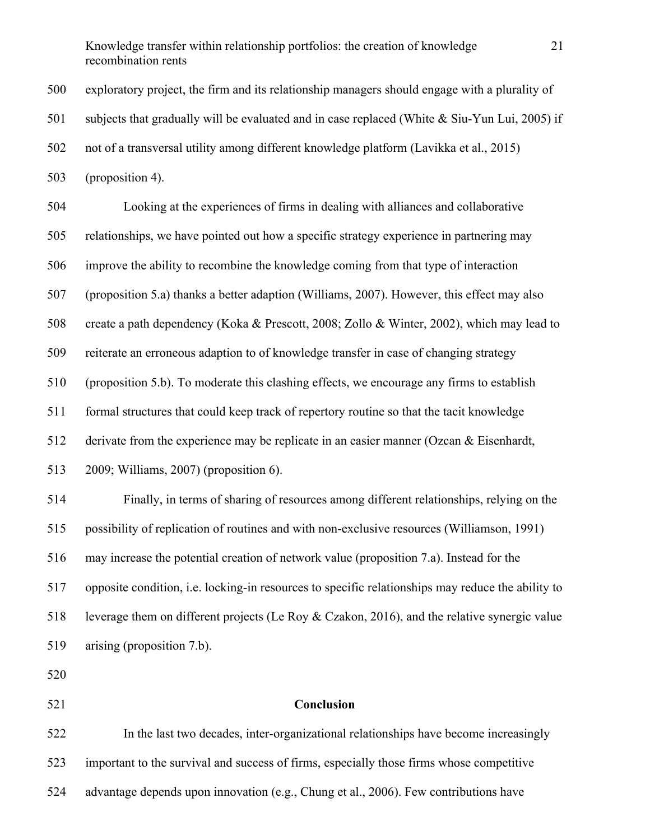| 500 | exploratory project, the firm and its relationship managers should engage with a plurality of     |
|-----|---------------------------------------------------------------------------------------------------|
| 501 | subjects that gradually will be evaluated and in case replaced (White & Siu-Yun Lui, 2005) if     |
| 502 | not of a transversal utility among different knowledge platform (Lavikka et al., 2015)            |
| 503 | (proposition 4).                                                                                  |
| 504 | Looking at the experiences of firms in dealing with alliances and collaborative                   |
| 505 | relationships, we have pointed out how a specific strategy experience in partnering may           |
| 506 | improve the ability to recombine the knowledge coming from that type of interaction               |
| 507 | (proposition 5.a) thanks a better adaption (Williams, 2007). However, this effect may also        |
| 508 | create a path dependency (Koka & Prescott, 2008; Zollo & Winter, 2002), which may lead to         |
| 509 | reiterate an erroneous adaption to of knowledge transfer in case of changing strategy             |
| 510 | (proposition 5.b). To moderate this clashing effects, we encourage any firms to establish         |
| 511 | formal structures that could keep track of repertory routine so that the tacit knowledge          |
| 512 | derivate from the experience may be replicate in an easier manner (Ozcan $& Eisenhardt$ ,         |
| 513 | 2009; Williams, 2007) (proposition 6).                                                            |
| 514 | Finally, in terms of sharing of resources among different relationships, relying on the           |
| 515 | possibility of replication of routines and with non-exclusive resources (Williamson, 1991)        |
| 516 | may increase the potential creation of network value (proposition 7.a). Instead for the           |
| 517 | opposite condition, i.e. locking-in resources to specific relationships may reduce the ability to |
| 518 | leverage them on different projects (Le Roy & Czakon, 2016), and the relative synergic value      |
| 519 | arising (proposition 7.b).                                                                        |
| 520 |                                                                                                   |

## **Conclusion**

 In the last two decades, inter-organizational relationships have become increasingly important to the survival and success of firms, especially those firms whose competitive advantage depends upon innovation (e.g., Chung et al., 2006). Few contributions have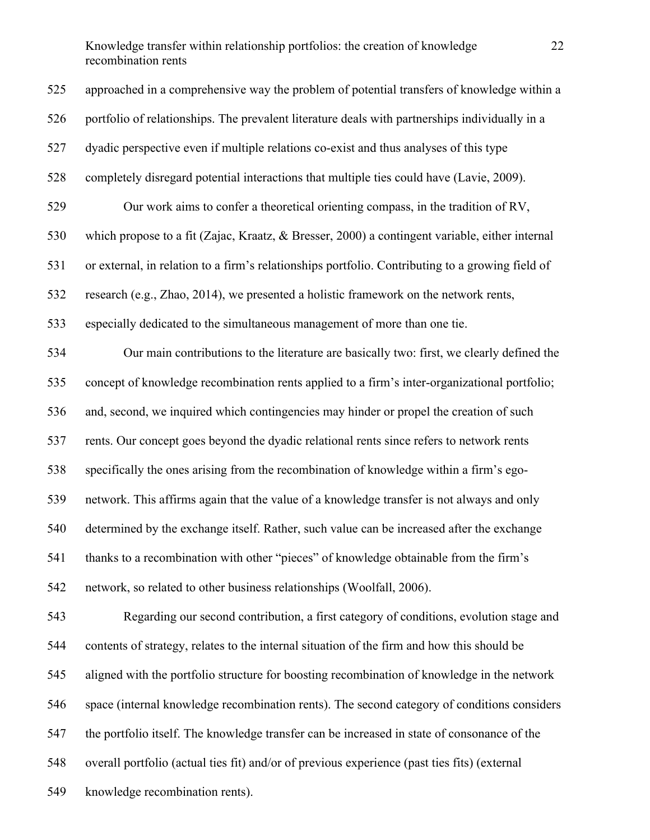| 525 | approached in a comprehensive way the problem of potential transfers of knowledge within a       |
|-----|--------------------------------------------------------------------------------------------------|
| 526 | portfolio of relationships. The prevalent literature deals with partnerships individually in a   |
| 527 | dyadic perspective even if multiple relations co-exist and thus analyses of this type            |
| 528 | completely disregard potential interactions that multiple ties could have (Lavie, 2009).         |
| 529 | Our work aims to confer a theoretical orienting compass, in the tradition of RV,                 |
| 530 | which propose to a fit (Zajac, Kraatz, & Bresser, 2000) a contingent variable, either internal   |
| 531 | or external, in relation to a firm's relationships portfolio. Contributing to a growing field of |
| 532 | research (e.g., Zhao, 2014), we presented a holistic framework on the network rents,             |
| 533 | especially dedicated to the simultaneous management of more than one tie.                        |
| 534 | Our main contributions to the literature are basically two: first, we clearly defined the        |
| 535 | concept of knowledge recombination rents applied to a firm's inter-organizational portfolio;     |
| 536 | and, second, we inquired which contingencies may hinder or propel the creation of such           |
| 537 | rents. Our concept goes beyond the dyadic relational rents since refers to network rents         |
| 538 | specifically the ones arising from the recombination of knowledge within a firm's ego-           |
| 539 | network. This affirms again that the value of a knowledge transfer is not always and only        |
| 540 | determined by the exchange itself. Rather, such value can be increased after the exchange        |
| 541 | thanks to a recombination with other "pieces" of knowledge obtainable from the firm's            |
| 542 | network, so related to other business relationships (Woolfall, 2006).                            |
| 543 | Regarding our second contribution, a first category of conditions, evolution stage and           |
| 544 | contents of strategy, relates to the internal situation of the firm and how this should be       |
| 545 | aligned with the portfolio structure for boosting recombination of knowledge in the network      |
| 546 | space (internal knowledge recombination rents). The second category of conditions considers      |
| 547 | the portfolio itself. The knowledge transfer can be increased in state of consonance of the      |
| 548 | overall portfolio (actual ties fit) and/or of previous experience (past ties fits) (external     |
| 549 | knowledge recombination rents).                                                                  |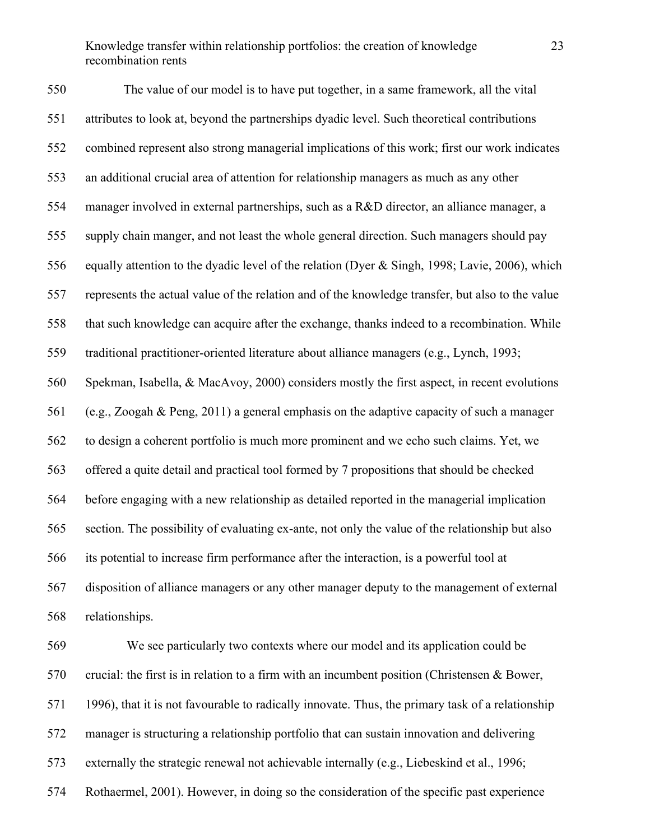The value of our model is to have put together, in a same framework, all the vital attributes to look at, beyond the partnerships dyadic level. Such theoretical contributions combined represent also strong managerial implications of this work; first our work indicates an additional crucial area of attention for relationship managers as much as any other manager involved in external partnerships, such as a R&D director, an alliance manager, a supply chain manger, and not least the whole general direction. Such managers should pay equally attention to the dyadic level of the relation (Dyer & Singh, 1998; Lavie, 2006), which represents the actual value of the relation and of the knowledge transfer, but also to the value that such knowledge can acquire after the exchange, thanks indeed to a recombination. While traditional practitioner-oriented literature about alliance managers (e.g., Lynch, 1993; Spekman, Isabella, & MacAvoy, 2000) considers mostly the first aspect, in recent evolutions (e.g., Zoogah & Peng, 2011) a general emphasis on the adaptive capacity of such a manager to design a coherent portfolio is much more prominent and we echo such claims. Yet, we offered a quite detail and practical tool formed by 7 propositions that should be checked before engaging with a new relationship as detailed reported in the managerial implication section. The possibility of evaluating ex-ante, not only the value of the relationship but also its potential to increase firm performance after the interaction, is a powerful tool at disposition of alliance managers or any other manager deputy to the management of external relationships.

 We see particularly two contexts where our model and its application could be crucial: the first is in relation to a firm with an incumbent position (Christensen & Bower, 1996), that it is not favourable to radically innovate. Thus, the primary task of a relationship manager is structuring a relationship portfolio that can sustain innovation and delivering externally the strategic renewal not achievable internally (e.g., Liebeskind et al., 1996; Rothaermel, 2001). However, in doing so the consideration of the specific past experience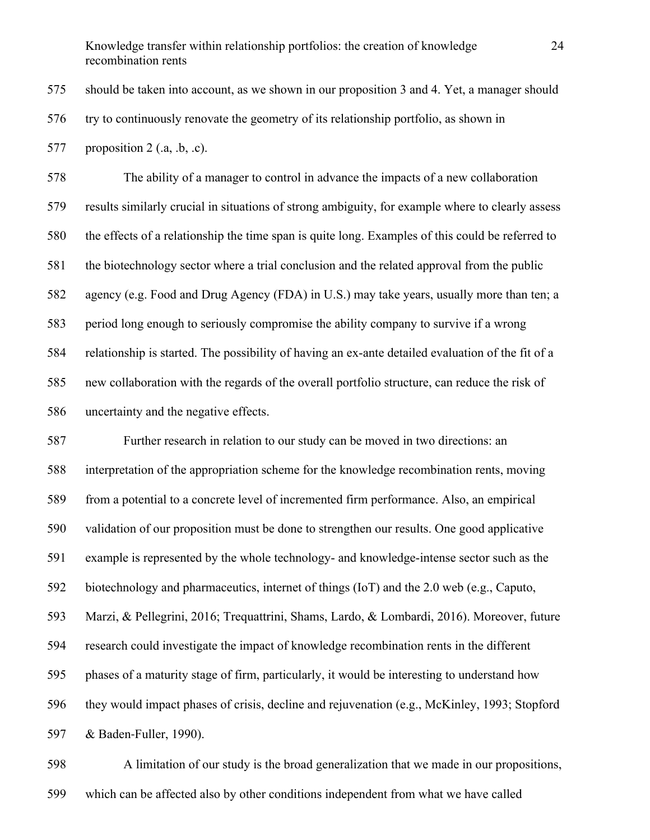should be taken into account, as we shown in our proposition 3 and 4. Yet, a manager should try to continuously renovate the geometry of its relationship portfolio, as shown in proposition 2 (.a, .b, .c).

 The ability of a manager to control in advance the impacts of a new collaboration results similarly crucial in situations of strong ambiguity, for example where to clearly assess the effects of a relationship the time span is quite long. Examples of this could be referred to the biotechnology sector where a trial conclusion and the related approval from the public agency (e.g. Food and Drug Agency (FDA) in U.S.) may take years, usually more than ten; a period long enough to seriously compromise the ability company to survive if a wrong relationship is started. The possibility of having an ex-ante detailed evaluation of the fit of a new collaboration with the regards of the overall portfolio structure, can reduce the risk of uncertainty and the negative effects.

 Further research in relation to our study can be moved in two directions: an interpretation of the appropriation scheme for the knowledge recombination rents, moving from a potential to a concrete level of incremented firm performance. Also, an empirical validation of our proposition must be done to strengthen our results. One good applicative example is represented by the whole technology- and knowledge-intense sector such as the biotechnology and pharmaceutics, internet of things (IoT) and the 2.0 web (e.g., Caputo, Marzi, & Pellegrini, 2016; Trequattrini, Shams, Lardo, & Lombardi, 2016). Moreover, future research could investigate the impact of knowledge recombination rents in the different phases of a maturity stage of firm, particularly, it would be interesting to understand how they would impact phases of crisis, decline and rejuvenation (e.g., McKinley, 1993; Stopford & Baden-Fuller, 1990).

 A limitation of our study is the broad generalization that we made in our propositions, which can be affected also by other conditions independent from what we have called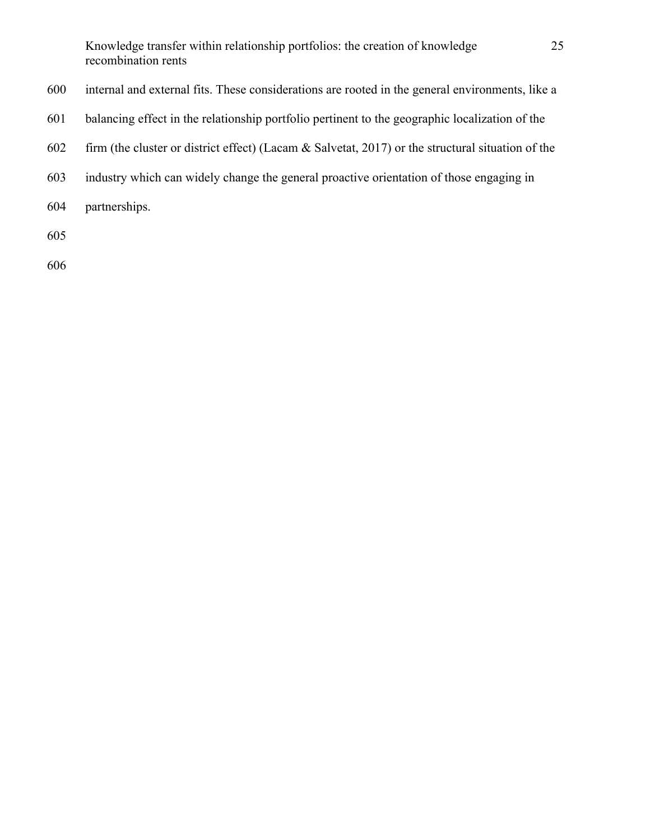- internal and external fits. These considerations are rooted in the general environments, like a
- balancing effect in the relationship portfolio pertinent to the geographic localization of the
- 602 firm (the cluster or district effect) (Lacam  $\&$  Salvetat, 2017) or the structural situation of the
- industry which can widely change the general proactive orientation of those engaging in
- partnerships.
- 
-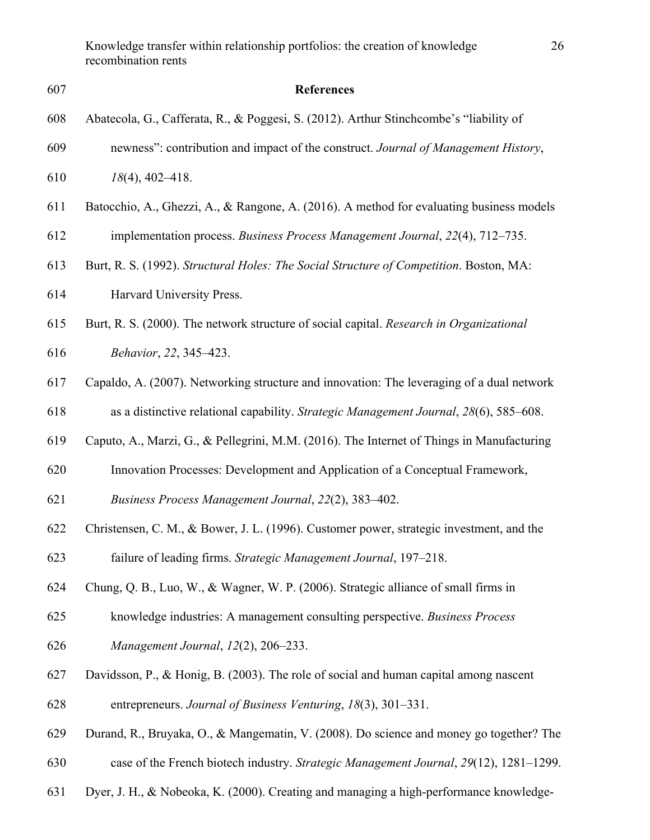| 607 | <b>References</b>                                                                         |
|-----|-------------------------------------------------------------------------------------------|
| 608 | Abatecola, G., Cafferata, R., & Poggesi, S. (2012). Arthur Stinchcombe's "liability of    |
| 609 | newness": contribution and impact of the construct. Journal of Management History,        |
| 610 | $18(4)$ , 402-418.                                                                        |
| 611 | Batocchio, A., Ghezzi, A., & Rangone, A. (2016). A method for evaluating business models  |
| 612 | implementation process. Business Process Management Journal, 22(4), 712–735.              |
| 613 | Burt, R. S. (1992). Structural Holes: The Social Structure of Competition. Boston, MA:    |
| 614 | Harvard University Press.                                                                 |
| 615 | Burt, R. S. (2000). The network structure of social capital. Research in Organizational   |
| 616 | Behavior, 22, 345–423.                                                                    |
| 617 | Capaldo, A. (2007). Networking structure and innovation: The leveraging of a dual network |
| 618 | as a distinctive relational capability. Strategic Management Journal, 28(6), 585–608.     |
| 619 | Caputo, A., Marzi, G., & Pellegrini, M.M. (2016). The Internet of Things in Manufacturing |
| 620 | Innovation Processes: Development and Application of a Conceptual Framework,              |
| 621 | Business Process Management Journal, 22(2), 383-402.                                      |
| 622 | Christensen, C. M., & Bower, J. L. (1996). Customer power, strategic investment, and the  |
| 623 | failure of leading firms. Strategic Management Journal, 197–218.                          |
| 624 | Chung, Q. B., Luo, W., & Wagner, W. P. (2006). Strategic alliance of small firms in       |
| 625 | knowledge industries: A management consulting perspective. Business Process               |
| 626 | Management Journal, 12(2), 206-233.                                                       |
| 627 | Davidsson, P., & Honig, B. (2003). The role of social and human capital among nascent     |
| 628 | entrepreneurs. Journal of Business Venturing, 18(3), 301–331.                             |
| 629 | Durand, R., Bruyaka, O., & Mangematin, V. (2008). Do science and money go together? The   |
| 630 | case of the French biotech industry. Strategic Management Journal, 29(12), 1281–1299.     |

Dyer, J. H., & Nobeoka, K. (2000). Creating and managing a high-performance knowledge-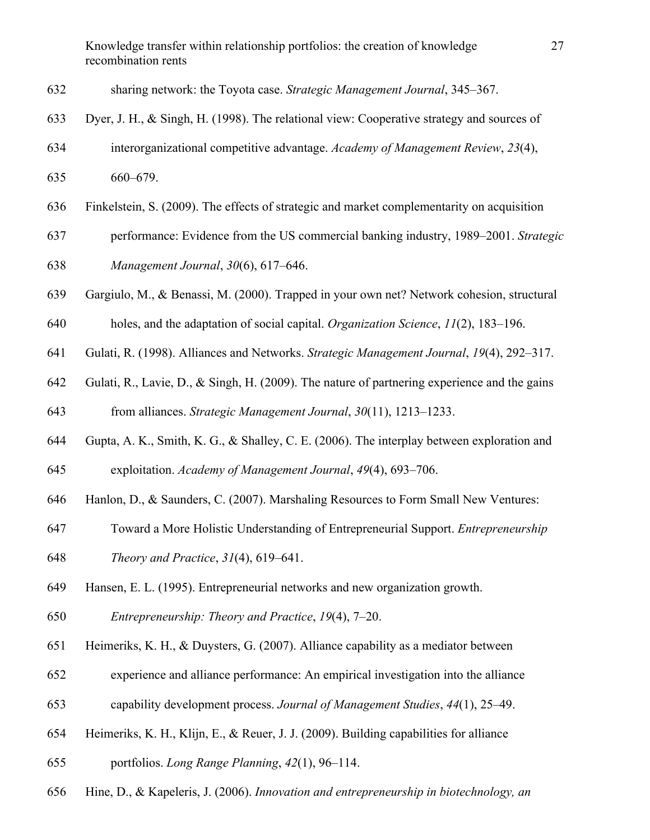- sharing network: the Toyota case. *Strategic Management Journal*, 345–367.
- Dyer, J. H., & Singh, H. (1998). The relational view: Cooperative strategy and sources of
- interorganizational competitive advantage. *Academy of Management Review*, *23*(4),
- 660–679.
- Finkelstein, S. (2009). The effects of strategic and market complementarity on acquisition
- performance: Evidence from the US commercial banking industry, 1989–2001. *Strategic*
- *Management Journal*, *30*(6), 617–646.
- Gargiulo, M., & Benassi, M. (2000). Trapped in your own net? Network cohesion, structural
- holes, and the adaptation of social capital. *Organization Science*, *11*(2), 183–196.
- Gulati, R. (1998). Alliances and Networks. *Strategic Management Journal*, *19*(4), 292–317.
- Gulati, R., Lavie, D., & Singh, H. (2009). The nature of partnering experience and the gains from alliances. *Strategic Management Journal*, *30*(11), 1213–1233.
- Gupta, A. K., Smith, K. G., & Shalley, C. E. (2006). The interplay between exploration and exploitation. *Academy of Management Journal*, *49*(4), 693–706.
- Hanlon, D., & Saunders, C. (2007). Marshaling Resources to Form Small New Ventures:
- Toward a More Holistic Understanding of Entrepreneurial Support. *Entrepreneurship*
- *Theory and Practice*, *31*(4), 619–641.
- Hansen, E. L. (1995). Entrepreneurial networks and new organization growth.
- *Entrepreneurship: Theory and Practice*, *19*(4), 7–20.
- Heimeriks, K. H., & Duysters, G. (2007). Alliance capability as a mediator between
- experience and alliance performance: An empirical investigation into the alliance
- capability development process. *Journal of Management Studies*, *44*(1), 25–49.
- Heimeriks, K. H., Klijn, E., & Reuer, J. J. (2009). Building capabilities for alliance
- portfolios. *Long Range Planning*, *42*(1), 96–114.
- Hine, D., & Kapeleris, J. (2006). *Innovation and entrepreneurship in biotechnology, an*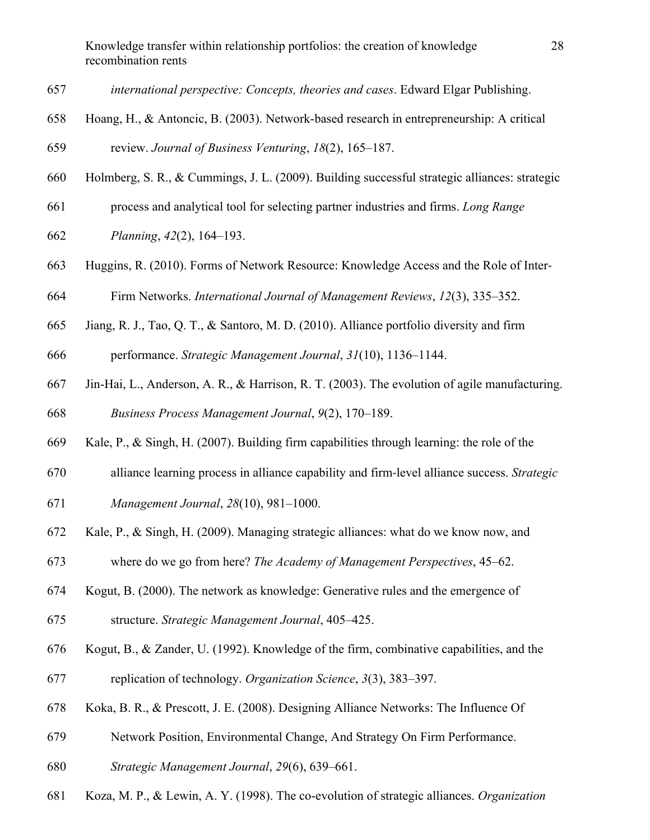- *international perspective: Concepts, theories and cases*. Edward Elgar Publishing.
- Hoang, H., & Antoncic, B. (2003). Network-based research in entrepreneurship: A critical
- review. *Journal of Business Venturing*, *18*(2), 165–187.
- Holmberg, S. R., & Cummings, J. L. (2009). Building successful strategic alliances: strategic
- process and analytical tool for selecting partner industries and firms. *Long Range*
- *Planning*, *42*(2), 164–193.
- Huggins, R. (2010). Forms of Network Resource: Knowledge Access and the Role of Inter-
- Firm Networks. *International Journal of Management Reviews*, *12*(3), 335–352.
- Jiang, R. J., Tao, Q. T., & Santoro, M. D. (2010). Alliance portfolio diversity and firm
- performance. *Strategic Management Journal*, *31*(10), 1136–1144.
- Jin-Hai, L., Anderson, A. R., & Harrison, R. T. (2003). The evolution of agile manufacturing. *Business Process Management Journal*, *9*(2), 170–189.
- Kale, P., & Singh, H. (2007). Building firm capabilities through learning: the role of the
- alliance learning process in alliance capability and firm-level alliance success. *Strategic*
- *Management Journal*, *28*(10), 981–1000.
- Kale, P., & Singh, H. (2009). Managing strategic alliances: what do we know now, and
- where do we go from here? *The Academy of Management Perspectives*, 45–62.
- Kogut, B. (2000). The network as knowledge: Generative rules and the emergence of
- structure. *Strategic Management Journal*, 405–425.
- Kogut, B., & Zander, U. (1992). Knowledge of the firm, combinative capabilities, and the replication of technology. *Organization Science*, *3*(3), 383–397.
- Koka, B. R., & Prescott, J. E. (2008). Designing Alliance Networks: The Influence Of
- Network Position, Environmental Change, And Strategy On Firm Performance.
- *Strategic Management Journal*, *29*(6), 639–661.
- Koza, M. P., & Lewin, A. Y. (1998). The co-evolution of strategic alliances. *Organization*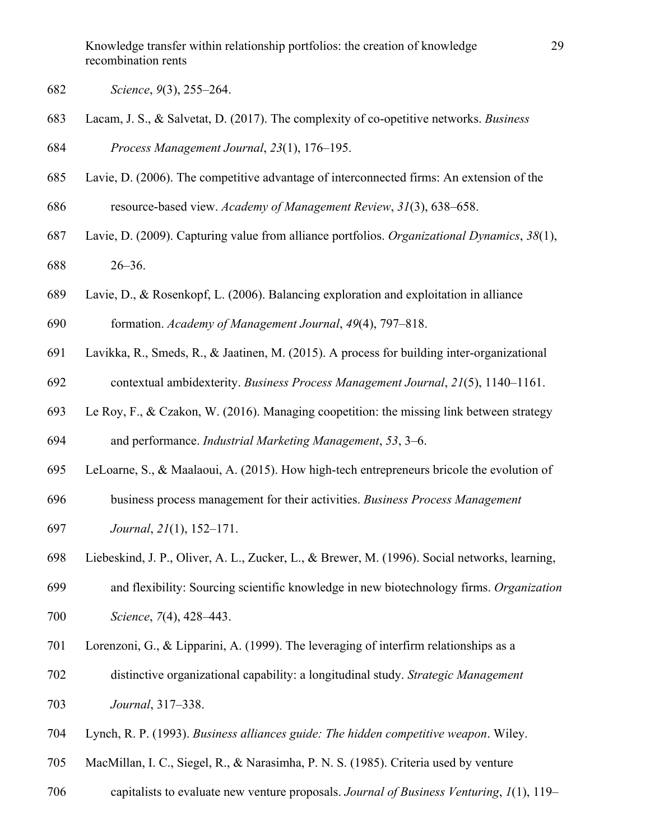- *Science*, *9*(3), 255–264.
- Lacam, J. S., & Salvetat, D. (2017). The complexity of co-opetitive networks. *Business*

*Process Management Journal*, *23*(1), 176–195.

- Lavie, D. (2006). The competitive advantage of interconnected firms: An extension of the
- resource-based view. *Academy of Management Review*, *31*(3), 638–658.
- Lavie, D. (2009). Capturing value from alliance portfolios. *Organizational Dynamics*, *38*(1), 26–36.
- Lavie, D., & Rosenkopf, L. (2006). Balancing exploration and exploitation in alliance

formation. *Academy of Management Journal*, *49*(4), 797–818.

- Lavikka, R., Smeds, R., & Jaatinen, M. (2015). A process for building inter-organizational
- contextual ambidexterity. *Business Process Management Journal*, *21*(5), 1140–1161.
- Le Roy, F., & Czakon, W. (2016). Managing coopetition: the missing link between strategy and performance. *Industrial Marketing Management*, *53*, 3–6.
- LeLoarne, S., & Maalaoui, A. (2015). How high-tech entrepreneurs bricole the evolution of
- business process management for their activities. *Business Process Management*
- *Journal*, *21*(1), 152–171.
- Liebeskind, J. P., Oliver, A. L., Zucker, L., & Brewer, M. (1996). Social networks, learning,
- and flexibility: Sourcing scientific knowledge in new biotechnology firms. *Organization*
- *Science*, *7*(4), 428–443.
- Lorenzoni, G., & Lipparini, A. (1999). The leveraging of interfirm relationships as a
- distinctive organizational capability: a longitudinal study. *Strategic Management*
- *Journal*, 317–338.
- Lynch, R. P. (1993). *Business alliances guide: The hidden competitive weapon*. Wiley.
- MacMillan, I. C., Siegel, R., & Narasimha, P. N. S. (1985). Criteria used by venture
- capitalists to evaluate new venture proposals. *Journal of Business Venturing*, *1*(1), 119–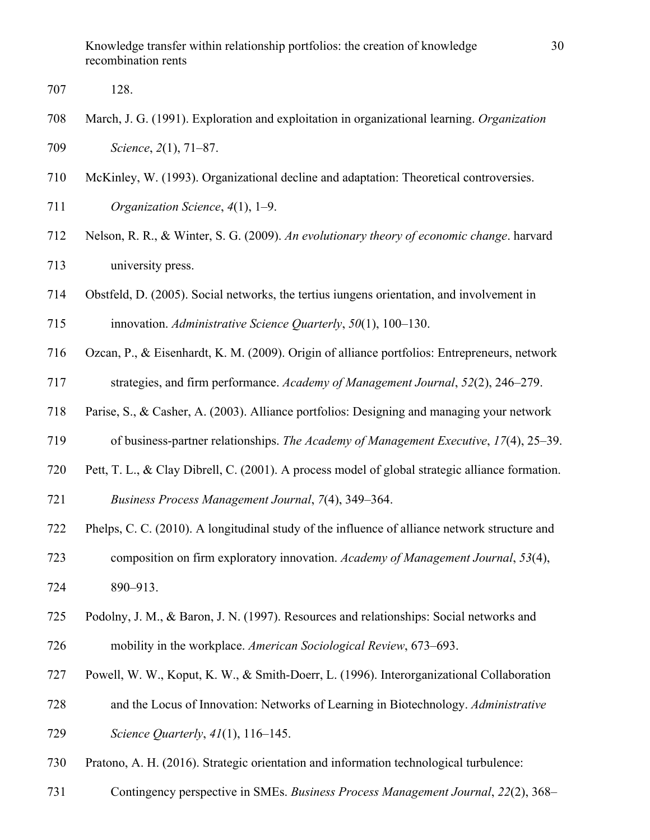- 128.
- March, J. G. (1991). Exploration and exploitation in organizational learning. *Organization Science*, *2*(1), 71–87.
- McKinley, W. (1993). Organizational decline and adaptation: Theoretical controversies.
- *Organization Science*, *4*(1), 1–9.
- Nelson, R. R., & Winter, S. G. (2009). *An evolutionary theory of economic change*. harvard university press.
- Obstfeld, D. (2005). Social networks, the tertius iungens orientation, and involvement in

innovation. *Administrative Science Quarterly*, *50*(1), 100–130.

- Ozcan, P., & Eisenhardt, K. M. (2009). Origin of alliance portfolios: Entrepreneurs, network
- strategies, and firm performance. *Academy of Management Journal*, *52*(2), 246–279.
- Parise, S., & Casher, A. (2003). Alliance portfolios: Designing and managing your network
- of business-partner relationships. *The Academy of Management Executive*, *17*(4), 25–39.
- Pett, T. L., & Clay Dibrell, C. (2001). A process model of global strategic alliance formation. *Business Process Management Journal*, *7*(4), 349–364.
- Phelps, C. C. (2010). A longitudinal study of the influence of alliance network structure and
- composition on firm exploratory innovation. *Academy of Management Journal*, *53*(4), 890–913.
- Podolny, J. M., & Baron, J. N. (1997). Resources and relationships: Social networks and
- mobility in the workplace. *American Sociological Review*, 673–693.
- Powell, W. W., Koput, K. W., & Smith-Doerr, L. (1996). Interorganizational Collaboration
- and the Locus of Innovation: Networks of Learning in Biotechnology. *Administrative*
- *Science Quarterly*, *41*(1), 116–145.
- Pratono, A. H. (2016). Strategic orientation and information technological turbulence:
- Contingency perspective in SMEs. *Business Process Management Journal*, *22*(2), 368–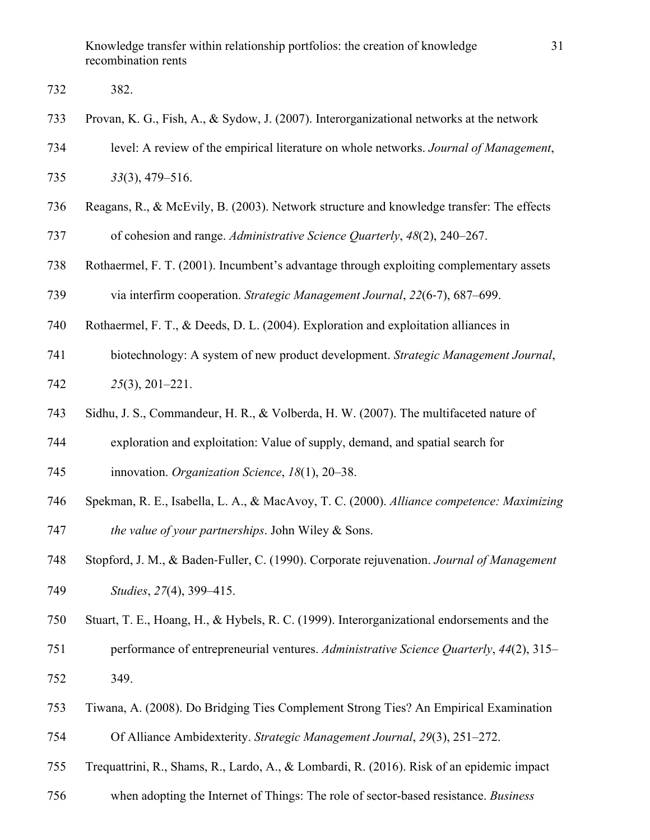- 382.
- Provan, K. G., Fish, A., & Sydow, J. (2007). Interorganizational networks at the network
- level: A review of the empirical literature on whole networks. *Journal of Management*,
- *33*(3), 479–516.
- Reagans, R., & McEvily, B. (2003). Network structure and knowledge transfer: The effects
- of cohesion and range. *Administrative Science Quarterly*, *48*(2), 240–267.
- Rothaermel, F. T. (2001). Incumbent's advantage through exploiting complementary assets
- via interfirm cooperation. *Strategic Management Journal*, *22*(6-7), 687–699.
- Rothaermel, F. T., & Deeds, D. L. (2004). Exploration and exploitation alliances in
- biotechnology: A system of new product development. *Strategic Management Journal*,
- *25*(3), 201–221.
- Sidhu, J. S., Commandeur, H. R., & Volberda, H. W. (2007). The multifaceted nature of

exploration and exploitation: Value of supply, demand, and spatial search for

- innovation. *Organization Science*, *18*(1), 20–38.
- Spekman, R. E., Isabella, L. A., & MacAvoy, T. C. (2000). *Alliance competence: Maximizing*
- *the value of your partnerships*. John Wiley & Sons.
- Stopford, J. M., & Baden-Fuller, C. (1990). Corporate rejuvenation. *Journal of Management Studies*, *27*(4), 399–415.
- Stuart, T. E., Hoang, H., & Hybels, R. C. (1999). Interorganizational endorsements and the
- performance of entrepreneurial ventures. *Administrative Science Quarterly*, *44*(2), 315– 349.
- Tiwana, A. (2008). Do Bridging Ties Complement Strong Ties? An Empirical Examination
- Of Alliance Ambidexterity. *Strategic Management Journal*, *29*(3), 251–272.
- Trequattrini, R., Shams, R., Lardo, A., & Lombardi, R. (2016). Risk of an epidemic impact
- when adopting the Internet of Things: The role of sector-based resistance. *Business*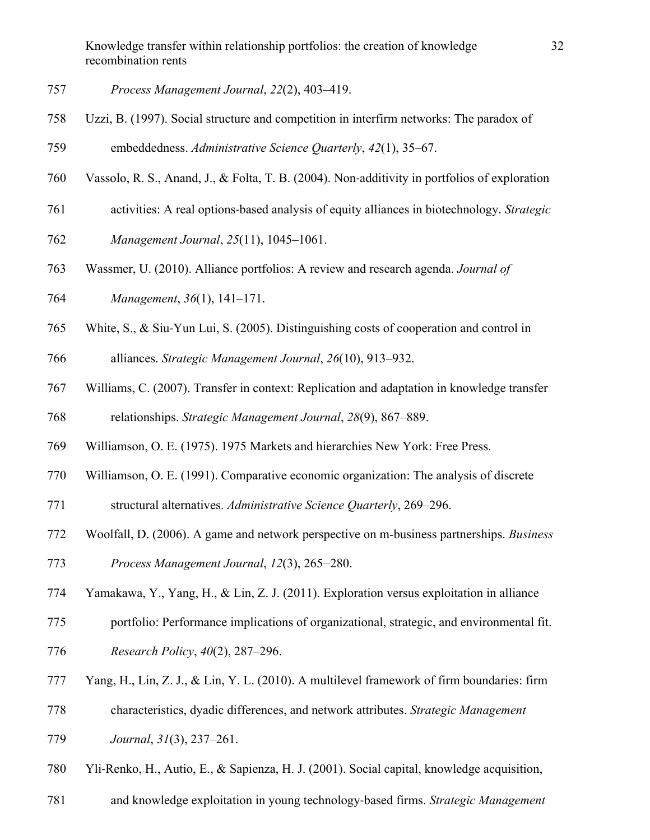- *Process Management Journal*, *22*(2), 403–419.
- Uzzi, B. (1997). Social structure and competition in interfirm networks: The paradox of
- embeddedness. *Administrative Science Quarterly*, *42*(1), 35–67.
- Vassolo, R. S., Anand, J., & Folta, T. B. (2004). Non-additivity in portfolios of exploration
- activities: A real options-based analysis of equity alliances in biotechnology. *Strategic*
- *Management Journal*, *25*(11), 1045–1061.
- Wassmer, U. (2010). Alliance portfolios: A review and research agenda. *Journal of*
- *Management*, *36*(1), 141–171.
- White, S., & Siu-Yun Lui, S. (2005). Distinguishing costs of cooperation and control in
- alliances. *Strategic Management Journal*, *26*(10), 913–932.
- Williams, C. (2007). Transfer in context: Replication and adaptation in knowledge transfer

relationships. *Strategic Management Journal*, *28*(9), 867–889.

- Williamson, O. E. (1975). 1975 Markets and hierarchies New York: Free Press.
- Williamson, O. E. (1991). Comparative economic organization: The analysis of discrete
- structural alternatives. *Administrative Science Quarterly*, 269–296.
- Woolfall, D. (2006). A game and network perspective on m-business partnerships. *Business Process Management Journal*, *12*(3), 265−280.
- Yamakawa, Y., Yang, H., & Lin, Z. J. (2011). Exploration versus exploitation in alliance
- portfolio: Performance implications of organizational, strategic, and environmental fit.
- *Research Policy*, *40*(2), 287–296.
- Yang, H., Lin, Z. J., & Lin, Y. L. (2010). A multilevel framework of firm boundaries: firm
- characteristics, dyadic differences, and network attributes. *Strategic Management*
- *Journal*, *31*(3), 237–261.
- Yli-Renko, H., Autio, E., & Sapienza, H. J. (2001). Social capital, knowledge acquisition,
- and knowledge exploitation in young technology-based firms. *Strategic Management*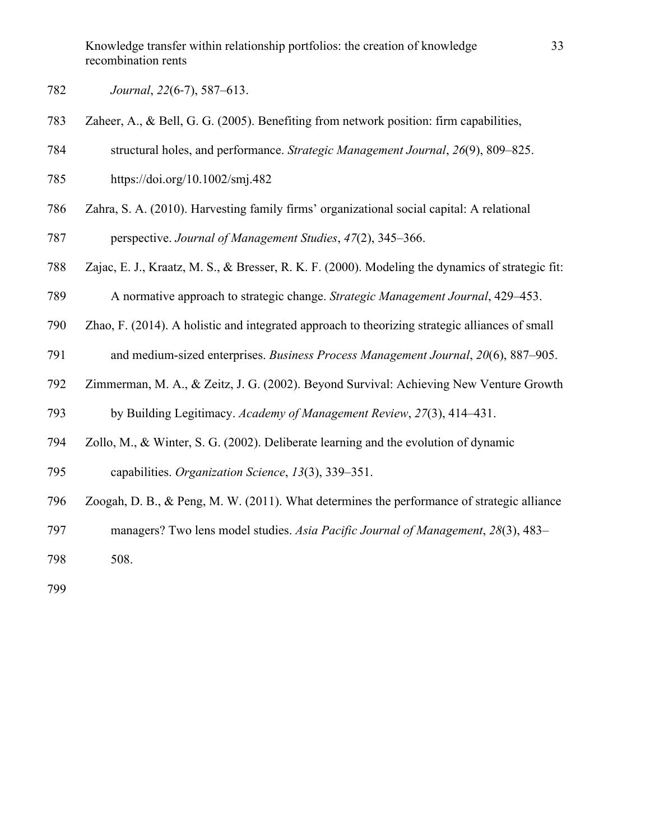- *Journal*, *22*(6-7), 587–613.
- Zaheer, A., & Bell, G. G. (2005). Benefiting from network position: firm capabilities,
- structural holes, and performance. *Strategic Management Journal*, *26*(9), 809–825.
- https://doi.org/10.1002/smj.482
- Zahra, S. A. (2010). Harvesting family firms' organizational social capital: A relational

perspective. *Journal of Management Studies*, *47*(2), 345–366.

- Zajac, E. J., Kraatz, M. S., & Bresser, R. K. F. (2000). Modeling the dynamics of strategic fit:
- A normative approach to strategic change. *Strategic Management Journal*, 429–453.
- Zhao, F. (2014). A holistic and integrated approach to theorizing strategic alliances of small
- and medium-sized enterprises. *Business Process Management Journal*, *20*(6), 887–905.
- Zimmerman, M. A., & Zeitz, J. G. (2002). Beyond Survival: Achieving New Venture Growth
- by Building Legitimacy. *Academy of Management Review*, *27*(3), 414–431.
- Zollo, M., & Winter, S. G. (2002). Deliberate learning and the evolution of dynamic
- capabilities. *Organization Science*, *13*(3), 339–351.
- Zoogah, D. B., & Peng, M. W. (2011). What determines the performance of strategic alliance
- managers? Two lens model studies. *Asia Pacific Journal of Management*, *28*(3), 483–
- 508.
-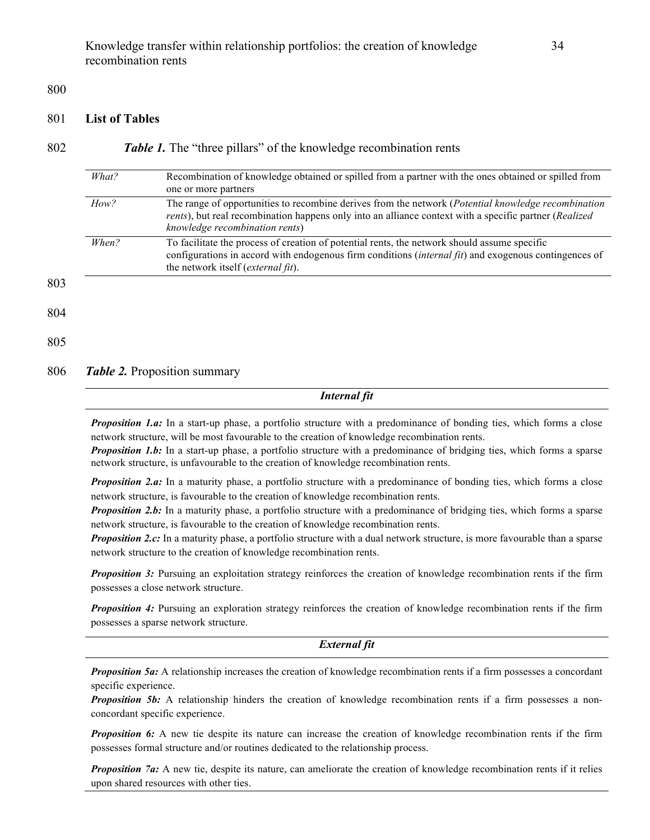#### 800

## 801 **List of Tables**

803

804

805

802 *Table 1.* The "three pillars" of the knowledge recombination rents

| What? | Recombination of knowledge obtained or spilled from a partner with the ones obtained or spilled from<br>one or more partners                                                                                                                         |
|-------|------------------------------------------------------------------------------------------------------------------------------------------------------------------------------------------------------------------------------------------------------|
| How?  | The range of opportunities to recombine derives from the network (Potential knowledge recombination<br>rents), but real recombination happens only into an alliance context with a specific partner (Realized<br>knowledge recombination rents)      |
| When? | To facilitate the process of creation of potential rents, the network should assume specific<br>configurations in accord with endogenous firm conditions (internal fit) and exogenous contingences of<br>the network itself ( <i>external fit</i> ). |

806 *Table 2.* Proposition summary

*Internal fit*

*Proposition 1.a:* In a start-up phase, a portfolio structure with a predominance of bonding ties, which forms a close network structure, will be most favourable to the creation of knowledge recombination rents.

*Proposition 1.b:* In a start-up phase, a portfolio structure with a predominance of bridging ties, which forms a sparse network structure, is unfavourable to the creation of knowledge recombination rents.

*Proposition 2.a:* In a maturity phase, a portfolio structure with a predominance of bonding ties, which forms a close network structure, is favourable to the creation of knowledge recombination rents.

*Proposition 2.b:* In a maturity phase, a portfolio structure with a predominance of bridging ties, which forms a sparse network structure, is favourable to the creation of knowledge recombination rents.

*Proposition 2.c:* In a maturity phase, a portfolio structure with a dual network structure, is more favourable than a sparse network structure to the creation of knowledge recombination rents.

*Proposition 3:* Pursuing an exploitation strategy reinforces the creation of knowledge recombination rents if the firm possesses a close network structure.

*Proposition 4:* Pursuing an exploration strategy reinforces the creation of knowledge recombination rents if the firm possesses a sparse network structure.

*External fit*

*Proposition 5a:* A relationship increases the creation of knowledge recombination rents if a firm possesses a concordant specific experience.

*Proposition 5b:* A relationship hinders the creation of knowledge recombination rents if a firm possesses a nonconcordant specific experience.

*Proposition 6:* A new tie despite its nature can increase the creation of knowledge recombination rents if the firm possesses formal structure and/or routines dedicated to the relationship process.

*Proposition 7a:* A new tie, despite its nature, can ameliorate the creation of knowledge recombination rents if it relies upon shared resources with other ties.